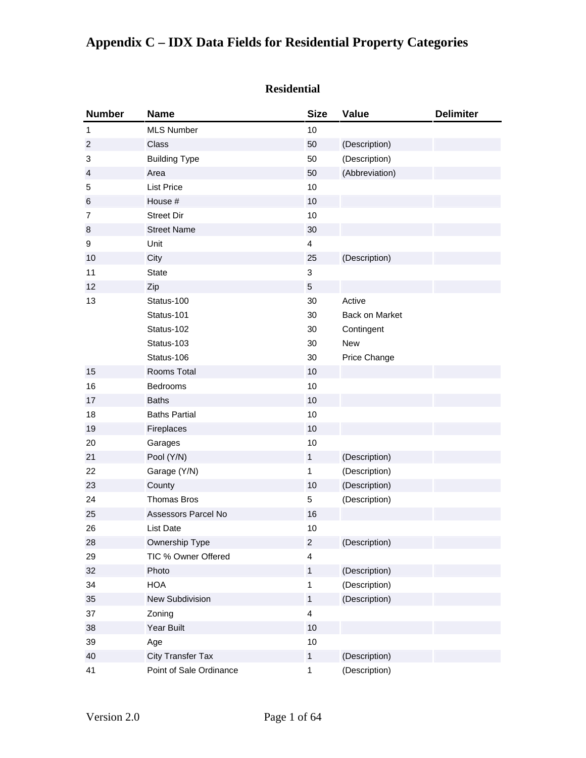#### **Residential**

| <b>Number</b>  | <b>Name</b>              | <b>Size</b>             | Value          | <b>Delimiter</b> |
|----------------|--------------------------|-------------------------|----------------|------------------|
| 1              | <b>MLS Number</b>        | 10                      |                |                  |
| $\overline{c}$ | Class                    | 50                      | (Description)  |                  |
| 3              | <b>Building Type</b>     | 50                      | (Description)  |                  |
| $\overline{4}$ | Area                     | 50                      | (Abbreviation) |                  |
| 5              | <b>List Price</b>        | 10                      |                |                  |
| 6              | House #                  | 10                      |                |                  |
| $\overline{7}$ | <b>Street Dir</b>        | 10                      |                |                  |
| $\,8\,$        | <b>Street Name</b>       | 30                      |                |                  |
| 9              | Unit                     | $\overline{\mathbf{4}}$ |                |                  |
| 10             | City                     | 25                      | (Description)  |                  |
| 11             | <b>State</b>             | 3                       |                |                  |
| 12             | Zip                      | 5                       |                |                  |
| 13             | Status-100               | 30                      | Active         |                  |
|                | Status-101               | 30                      | Back on Market |                  |
|                | Status-102               | 30                      | Contingent     |                  |
|                | Status-103               | 30                      | New            |                  |
|                | Status-106               | 30                      | Price Change   |                  |
| 15             | Rooms Total              | 10                      |                |                  |
| 16             | Bedrooms                 | 10                      |                |                  |
| 17             | <b>Baths</b>             | 10                      |                |                  |
| 18             | <b>Baths Partial</b>     | 10                      |                |                  |
| 19             | Fireplaces               | 10                      |                |                  |
| 20             | Garages                  | 10                      |                |                  |
| 21             | Pool (Y/N)               | $\mathbf{1}$            | (Description)  |                  |
| 22             | Garage (Y/N)             | 1                       | (Description)  |                  |
| 23             | County                   | 10                      | (Description)  |                  |
| 24             | <b>Thomas Bros</b>       | 5                       | (Description)  |                  |
| 25             | Assessors Parcel No      | 16                      |                |                  |
| 26             | <b>List Date</b>         | 10                      |                |                  |
| 28             | Ownership Type           | $\boldsymbol{2}$        | (Description)  |                  |
| 29             | TIC % Owner Offered      | $\overline{\mathbf{4}}$ |                |                  |
| 32             | Photo                    | $\mathbf{1}$            | (Description)  |                  |
| 34             | <b>HOA</b>               | $\mathbf 1$             | (Description)  |                  |
| 35             | New Subdivision          | $\mathbf{1}$            | (Description)  |                  |
| 37             | Zoning                   | $\overline{\mathbf{4}}$ |                |                  |
| 38             | Year Built               | 10                      |                |                  |
| 39             | Age                      | 10                      |                |                  |
| 40             | <b>City Transfer Tax</b> | $\mathbf{1}$            | (Description)  |                  |
| 41             | Point of Sale Ordinance  | 1                       | (Description)  |                  |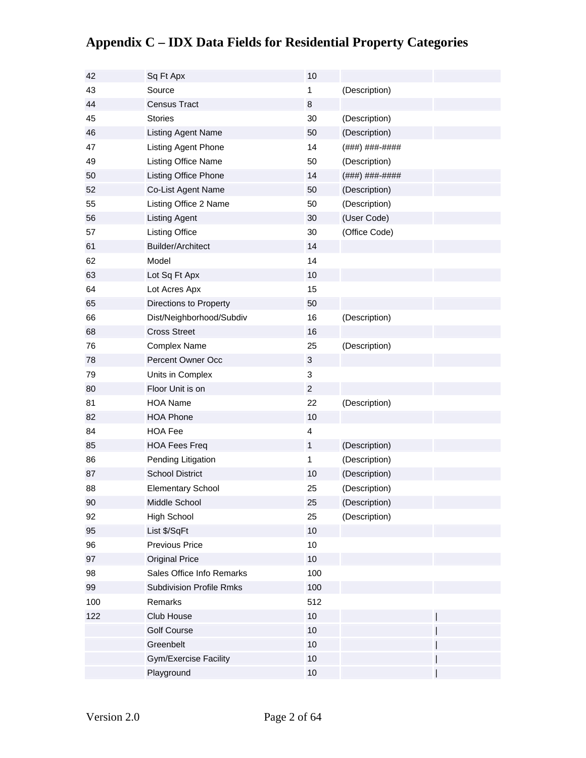| 42  | Sq Ft Apx                       | 10             |                |  |
|-----|---------------------------------|----------------|----------------|--|
| 43  | Source                          | 1              | (Description)  |  |
| 44  | <b>Census Tract</b>             | 8              |                |  |
| 45  | <b>Stories</b>                  | 30             | (Description)  |  |
| 46  | Listing Agent Name              | 50             | (Description)  |  |
| 47  | Listing Agent Phone             | 14             | (###) ###-#### |  |
| 49  | Listing Office Name             | 50             | (Description)  |  |
| 50  | Listing Office Phone            | 14             | (###) ###-#### |  |
| 52  | Co-List Agent Name              | 50             | (Description)  |  |
| 55  | Listing Office 2 Name           | 50             | (Description)  |  |
| 56  | <b>Listing Agent</b>            | 30             | (User Code)    |  |
| 57  | <b>Listing Office</b>           | 30             | (Office Code)  |  |
| 61  | <b>Builder/Architect</b>        | 14             |                |  |
| 62  | Model                           | 14             |                |  |
| 63  | Lot Sq Ft Apx                   | 10             |                |  |
| 64  | Lot Acres Apx                   | 15             |                |  |
| 65  | Directions to Property          | 50             |                |  |
| 66  | Dist/Neighborhood/Subdiv        | 16             | (Description)  |  |
| 68  | <b>Cross Street</b>             | 16             |                |  |
| 76  | <b>Complex Name</b>             | 25             | (Description)  |  |
| 78  | Percent Owner Occ               | 3              |                |  |
| 79  | Units in Complex                | 3              |                |  |
| 80  | Floor Unit is on                | $\overline{c}$ |                |  |
| 81  | <b>HOA Name</b>                 | 22             | (Description)  |  |
| 82  | <b>HOA Phone</b>                | 10             |                |  |
| 84  | <b>HOA Fee</b>                  | 4              |                |  |
| 85  | <b>HOA Fees Freq</b>            | $\mathbf{1}$   | (Description)  |  |
| 86  | Pending Litigation              | 1              | (Description)  |  |
| 87  | <b>School District</b>          | 10             | (Description)  |  |
| 88  | <b>Elementary School</b>        | 25             | (Description)  |  |
| 90  | Middle School                   | 25             | (Description)  |  |
| 92  | High School                     | 25             | (Description)  |  |
| 95  | List \$/SqFt                    | 10             |                |  |
| 96  | Previous Price                  | 10             |                |  |
| 97  | <b>Original Price</b>           | 10             |                |  |
| 98  | Sales Office Info Remarks       | 100            |                |  |
| 99  | <b>Subdivision Profile Rmks</b> | 100            |                |  |
| 100 | Remarks                         | 512            |                |  |
| 122 | Club House                      | 10             |                |  |
|     | <b>Golf Course</b>              | 10             |                |  |
|     | Greenbelt                       | 10             |                |  |
|     | <b>Gym/Exercise Facility</b>    | 10             |                |  |
|     | Playground                      | 10             |                |  |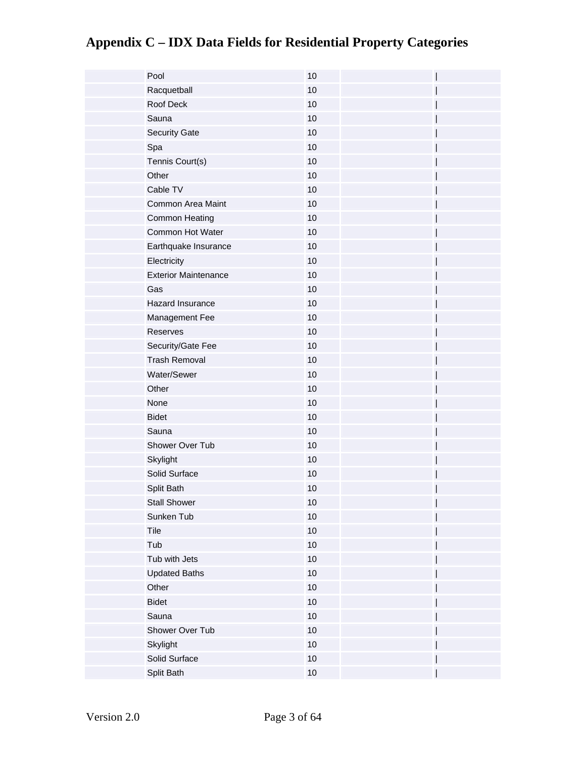| Pool                        | 10   |  |
|-----------------------------|------|--|
| Racquetball                 | 10   |  |
| Roof Deck                   | 10   |  |
| Sauna                       | 10   |  |
| <b>Security Gate</b>        | 10   |  |
| Spa                         | 10   |  |
| Tennis Court(s)             | 10   |  |
| Other                       | 10   |  |
| Cable TV                    | 10   |  |
| Common Area Maint           | 10   |  |
| Common Heating              | 10   |  |
| Common Hot Water            | 10   |  |
| Earthquake Insurance        | 10   |  |
| Electricity                 | 10   |  |
| <b>Exterior Maintenance</b> | $10$ |  |
| Gas                         | $10$ |  |
| Hazard Insurance            | 10   |  |
| Management Fee              | 10   |  |
| Reserves                    | 10   |  |
| Security/Gate Fee           | 10   |  |
| <b>Trash Removal</b>        | 10   |  |
| Water/Sewer                 | 10   |  |
| Other                       | 10   |  |
| None                        | 10   |  |
| <b>Bidet</b>                | 10   |  |
| Sauna                       | 10   |  |
| Shower Over Tub             | 10   |  |
| Skylight                    | 10   |  |
| Solid Surface               | 10   |  |
| Split Bath                  | 10   |  |
| <b>Stall Shower</b>         | 10   |  |
| Sunken Tub                  | $10$ |  |
| Tile                        | $10$ |  |
| Tub                         | $10$ |  |
| Tub with Jets               | $10$ |  |
| <b>Updated Baths</b>        | $10$ |  |
| Other                       | 10   |  |
| <b>Bidet</b>                | $10$ |  |
| Sauna                       | $10$ |  |
| Shower Over Tub             | $10$ |  |
| Skylight                    | 10   |  |
| Solid Surface               | 10   |  |
| Split Bath                  | $10$ |  |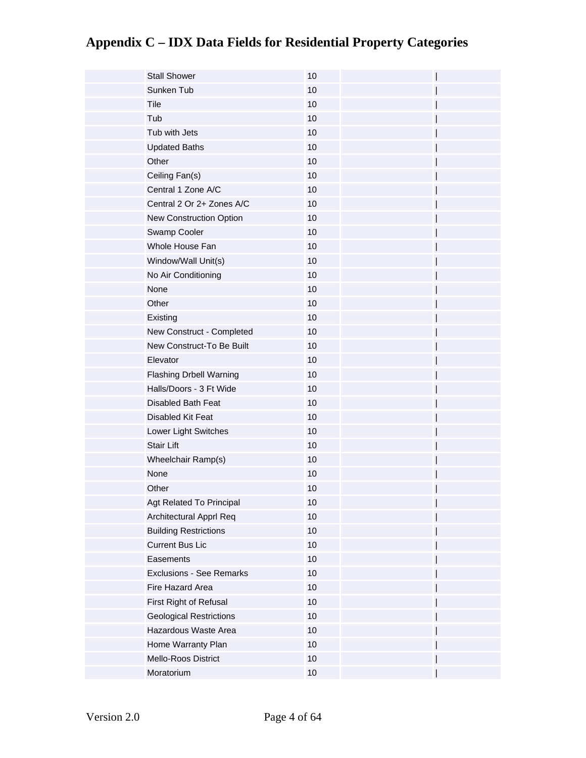| <b>Stall Shower</b>             | 10   |  |
|---------------------------------|------|--|
| Sunken Tub                      | 10   |  |
| Tile                            | 10   |  |
| Tub                             | 10   |  |
| Tub with Jets                   | 10   |  |
| <b>Updated Baths</b>            | 10   |  |
| Other                           | 10   |  |
| Ceiling Fan(s)                  | 10   |  |
| Central 1 Zone A/C              | 10   |  |
| Central 2 Or 2+ Zones A/C       | 10   |  |
| New Construction Option         | 10   |  |
| Swamp Cooler                    | 10   |  |
| Whole House Fan                 | 10   |  |
| Window/Wall Unit(s)             | 10   |  |
| No Air Conditioning             | 10   |  |
| None                            | 10   |  |
| Other                           | 10   |  |
| Existing                        | 10   |  |
| New Construct - Completed       | 10   |  |
| New Construct-To Be Built       | 10   |  |
| Elevator                        | 10   |  |
| <b>Flashing Drbell Warning</b>  | 10   |  |
| Halls/Doors - 3 Ft Wide         | 10   |  |
| <b>Disabled Bath Feat</b>       | 10   |  |
| Disabled Kit Feat               | 10   |  |
| Lower Light Switches            | 10   |  |
| <b>Stair Lift</b>               | 10   |  |
| Wheelchair Ramp(s)              | 10   |  |
| None                            | 10   |  |
| Other                           | 10   |  |
| Agt Related To Principal        | 10   |  |
| Architectural Apprl Req         | $10$ |  |
| <b>Building Restrictions</b>    | 10   |  |
| <b>Current Bus Lic</b>          | $10$ |  |
| Easements                       | $10$ |  |
| <b>Exclusions - See Remarks</b> | $10$ |  |
| Fire Hazard Area                | 10   |  |
| First Right of Refusal          | $10$ |  |
| <b>Geological Restrictions</b>  | $10$ |  |
| Hazardous Waste Area            | $10$ |  |
| Home Warranty Plan              | $10$ |  |
| Mello-Roos District             | 10   |  |
| Moratorium                      | $10$ |  |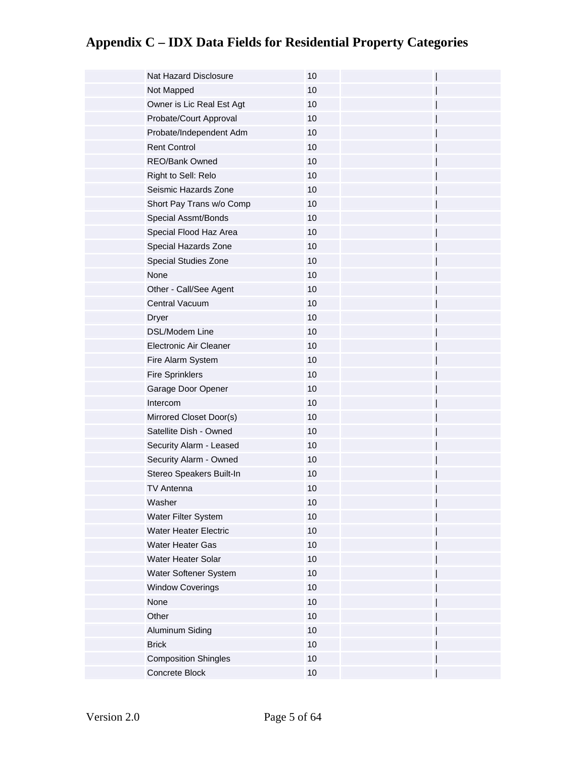| Nat Hazard Disclosure         | 10   |  |
|-------------------------------|------|--|
| Not Mapped                    | 10   |  |
| Owner is Lic Real Est Agt     | 10   |  |
| Probate/Court Approval        | 10   |  |
| Probate/Independent Adm       | 10   |  |
| <b>Rent Control</b>           | 10   |  |
| <b>REO/Bank Owned</b>         | 10   |  |
| Right to Sell: Relo           | $10$ |  |
| Seismic Hazards Zone          | 10   |  |
| Short Pay Trans w/o Comp      | $10$ |  |
| Special Assmt/Bonds           | 10   |  |
| Special Flood Haz Area        | 10   |  |
| Special Hazards Zone          | 10   |  |
| Special Studies Zone          | 10   |  |
| None                          | 10   |  |
| Other - Call/See Agent        | 10   |  |
| Central Vacuum                | 10   |  |
| <b>Dryer</b>                  | 10   |  |
| DSL/Modem Line                | 10   |  |
| <b>Electronic Air Cleaner</b> | 10   |  |
| Fire Alarm System             | 10   |  |
| <b>Fire Sprinklers</b>        | 10   |  |
| Garage Door Opener            | 10   |  |
| Intercom                      | 10   |  |
| Mirrored Closet Door(s)       | 10   |  |
| Satellite Dish - Owned        | 10   |  |
| Security Alarm - Leased       | $10$ |  |
| Security Alarm - Owned        | 10   |  |
| Stereo Speakers Built-In      | $10$ |  |
| <b>TV Antenna</b>             | 10   |  |
| Washer                        | $10$ |  |
| Water Filter System           | 10   |  |
| <b>Water Heater Electric</b>  | 10   |  |
| Water Heater Gas              | 10   |  |
| Water Heater Solar            | 10   |  |
| Water Softener System         | $10$ |  |
| <b>Window Coverings</b>       | 10   |  |
| None                          | 10   |  |
| Other                         | 10   |  |
| Aluminum Siding               | 10   |  |
| <b>Brick</b>                  | 10   |  |
| <b>Composition Shingles</b>   | 10   |  |
| Concrete Block                | 10   |  |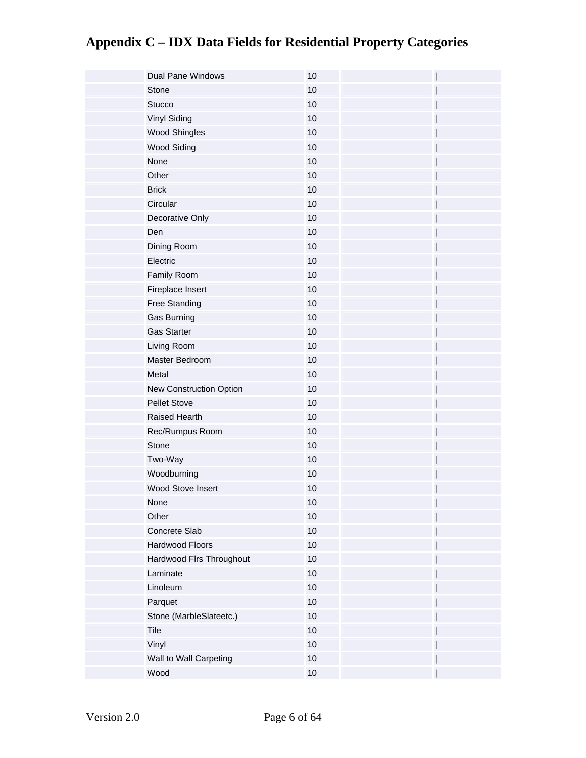| <b>Dual Pane Windows</b> | 10   |  |
|--------------------------|------|--|
| Stone                    | 10   |  |
| <b>Stucco</b>            | 10   |  |
| Vinyl Siding             | 10   |  |
| <b>Wood Shingles</b>     | 10   |  |
| <b>Wood Siding</b>       | 10   |  |
| None                     | 10   |  |
| Other                    | 10   |  |
| <b>Brick</b>             | 10   |  |
| Circular                 | 10   |  |
| Decorative Only          | $10$ |  |
| Den                      | 10   |  |
| Dining Room              | 10   |  |
| Electric                 | 10   |  |
| Family Room              | $10$ |  |
| Fireplace Insert         | $10$ |  |
| <b>Free Standing</b>     | 10   |  |
| Gas Burning              | $10$ |  |
| <b>Gas Starter</b>       | 10   |  |
| Living Room              | $10$ |  |
| Master Bedroom           | 10   |  |
| Metal                    | 10   |  |
| New Construction Option  | 10   |  |
| <b>Pellet Stove</b>      | 10   |  |
| Raised Hearth            | 10   |  |
| Rec/Rumpus Room          | 10   |  |
| Stone                    | 10   |  |
| Two-Way                  | 10   |  |
| Woodburning              | $10$ |  |
| Wood Stove Insert        | 10   |  |
| None                     | 10   |  |
| Other                    | $10$ |  |
| Concrete Slab            | 10   |  |
| Hardwood Floors          | $10$ |  |
| Hardwood Flrs Throughout | 10   |  |
| Laminate                 | 10   |  |
| Linoleum                 | 10   |  |
| Parquet                  | $10$ |  |
| Stone (MarbleSlateetc.)  | $10$ |  |
| Tile                     | 10   |  |
| Vinyl                    | 10   |  |
| Wall to Wall Carpeting   | 10   |  |
| Wood                     | $10$ |  |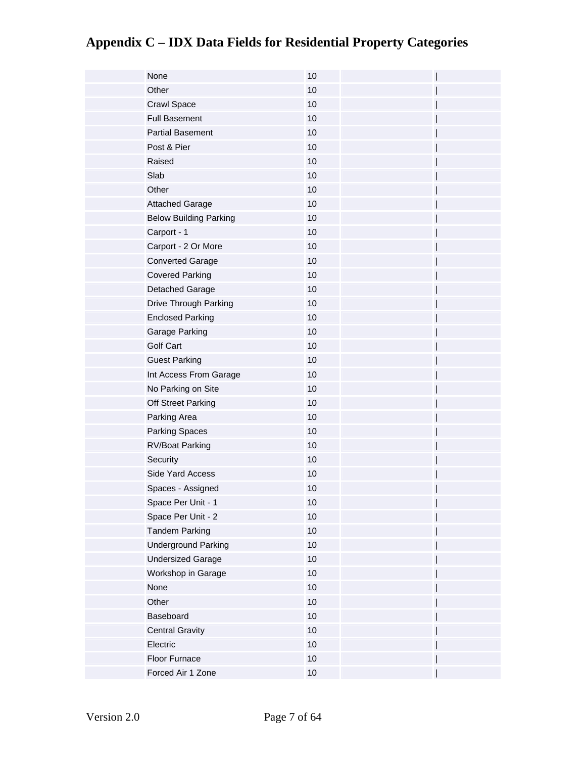| None                          | 10   |  |
|-------------------------------|------|--|
| Other                         | 10   |  |
| Crawl Space                   | 10   |  |
| <b>Full Basement</b>          | 10   |  |
| <b>Partial Basement</b>       | 10   |  |
| Post & Pier                   | 10   |  |
| Raised                        | 10   |  |
| Slab                          | 10   |  |
| Other                         | 10   |  |
| <b>Attached Garage</b>        | 10   |  |
| <b>Below Building Parking</b> | 10   |  |
| Carport - 1                   | 10   |  |
| Carport - 2 Or More           | 10   |  |
| <b>Converted Garage</b>       | 10   |  |
| <b>Covered Parking</b>        | 10   |  |
| Detached Garage               | 10   |  |
| Drive Through Parking         | 10   |  |
| <b>Enclosed Parking</b>       | 10   |  |
| Garage Parking                | 10   |  |
| <b>Golf Cart</b>              | 10   |  |
| <b>Guest Parking</b>          | 10   |  |
| Int Access From Garage        | 10   |  |
| No Parking on Site            | 10   |  |
| Off Street Parking            | 10   |  |
| Parking Area                  | 10   |  |
| <b>Parking Spaces</b>         | 10   |  |
| <b>RV/Boat Parking</b>        | 10   |  |
| Security                      | 10   |  |
| Side Yard Access              | $10$ |  |
| Spaces - Assigned             | 10   |  |
| Space Per Unit - 1            | 10   |  |
| Space Per Unit - 2            | 10   |  |
| <b>Tandem Parking</b>         | 10   |  |
| <b>Underground Parking</b>    | $10$ |  |
| <b>Undersized Garage</b>      | 10   |  |
| Workshop in Garage            | 10   |  |
| None                          | $10$ |  |
| Other                         | $10$ |  |
| Baseboard                     | $10$ |  |
| <b>Central Gravity</b>        | 10   |  |
| Electric                      | $10$ |  |
| Floor Furnace                 | 10   |  |
| Forced Air 1 Zone             | $10$ |  |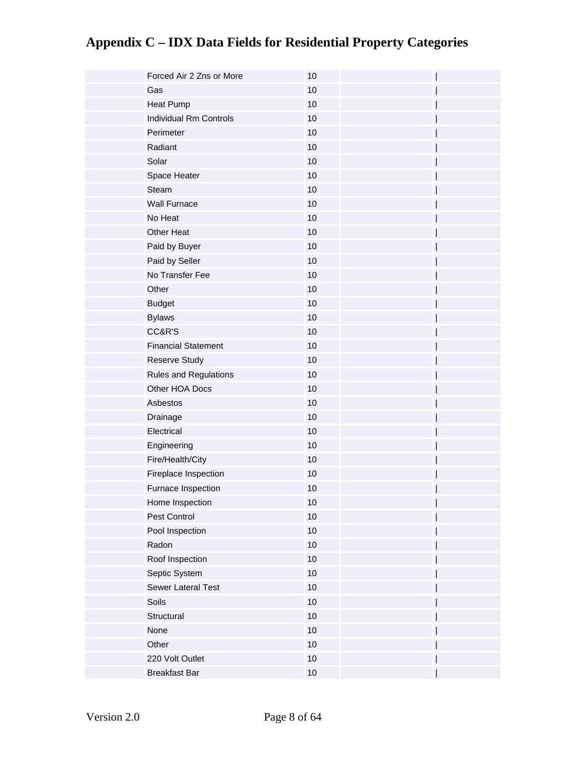| Forced Air 2 Zns or More      | 10   |  |
|-------------------------------|------|--|
| Gas                           | 10   |  |
| <b>Heat Pump</b>              | 10   |  |
| <b>Individual Rm Controls</b> | 10   |  |
| Perimeter                     | 10   |  |
| Radiant                       | 10   |  |
| Solar                         | $10$ |  |
| Space Heater                  | 10   |  |
| Steam                         | $10$ |  |
| <b>Wall Furnace</b>           | 10   |  |
| No Heat                       | 10   |  |
| Other Heat                    | 10   |  |
| Paid by Buyer                 | 10   |  |
| Paid by Seller                | 10   |  |
| No Transfer Fee               | $10$ |  |
| Other                         | 10   |  |
| <b>Budget</b>                 | $10$ |  |
| <b>Bylaws</b>                 | 10   |  |
| CC&R'S                        | 10   |  |
| <b>Financial Statement</b>    | $10$ |  |
| <b>Reserve Study</b>          | 10   |  |
| Rules and Regulations         | 10   |  |
| Other HOA Docs                | 10   |  |
| Asbestos                      | $10$ |  |
| Drainage                      | 10   |  |
| Electrical                    | 10   |  |
| Engineering                   | 10   |  |
| Fire/Health/City              | $10$ |  |
| Fireplace Inspection          | $10$ |  |
| Furnace Inspection            | 10   |  |
| Home Inspection               | $10$ |  |
| Pest Control                  | $10$ |  |
| Pool Inspection               | 10   |  |
| Radon                         | $10$ |  |
| Roof Inspection               | $10$ |  |
| Septic System                 | $10$ |  |
| Sewer Lateral Test            | 10   |  |
| Soils                         | $10$ |  |
| Structural                    | $10$ |  |
| None                          | $10$ |  |
| Other                         | 10   |  |
| 220 Volt Outlet               | 10   |  |
| <b>Breakfast Bar</b>          | $10$ |  |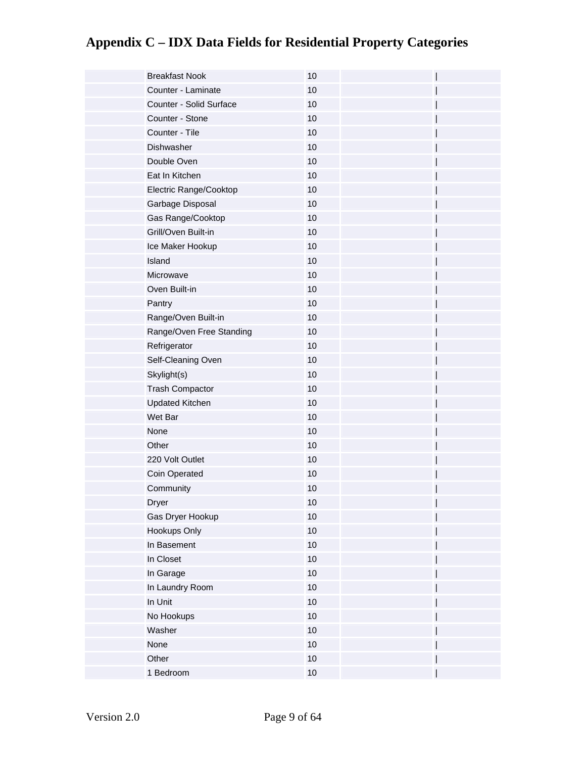| <b>Breakfast Nook</b>    | 10   |
|--------------------------|------|
| Counter - Laminate       | 10   |
| Counter - Solid Surface  | 10   |
| Counter - Stone          | 10   |
| Counter - Tile           | 10   |
| Dishwasher               | 10   |
| Double Oven              | 10   |
| Eat In Kitchen           | 10   |
| Electric Range/Cooktop   | 10   |
| Garbage Disposal         | 10   |
| Gas Range/Cooktop        | 10   |
| Grill/Oven Built-in      | 10   |
| Ice Maker Hookup         | 10   |
| Island                   | 10   |
| Microwave                | 10   |
| Oven Built-in            | 10   |
| Pantry                   | 10   |
| Range/Oven Built-in      | 10   |
| Range/Oven Free Standing | $10$ |
| Refrigerator             | 10   |
| Self-Cleaning Oven       | 10   |
| Skylight(s)              | 10   |
| <b>Trash Compactor</b>   | 10   |
| <b>Updated Kitchen</b>   | 10   |
| Wet Bar                  | 10   |
| None                     | 10   |
| Other                    | 10   |
| 220 Volt Outlet          | 10   |
| Coin Operated            | 10   |
| Community                | 10   |
| Dryer                    | $10$ |
| Gas Dryer Hookup         | $10$ |
| Hookups Only             | 10   |
| In Basement              | $10$ |
| In Closet                | $10$ |
| In Garage                | $10$ |
| In Laundry Room          | 10   |
| In Unit                  | $10$ |
| No Hookups               | $10$ |
| Washer                   | $10$ |
| None                     | 10   |
| Other                    | $10$ |
| 1 Bedroom                | $10$ |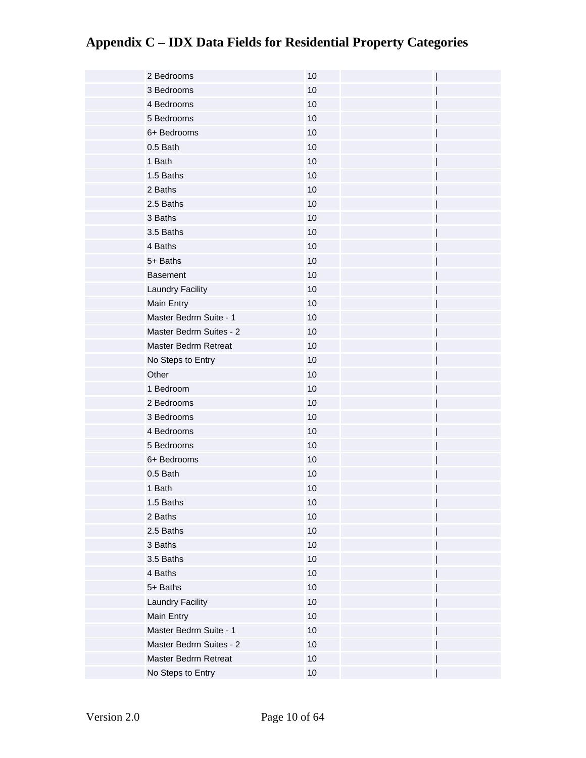| 2 Bedrooms              | 10   |  |
|-------------------------|------|--|
| 3 Bedrooms              | 10   |  |
| 4 Bedrooms              | 10   |  |
| 5 Bedrooms              | 10   |  |
| 6+ Bedrooms             | 10   |  |
| 0.5 Bath                | 10   |  |
| 1 Bath                  | 10   |  |
| 1.5 Baths               | 10   |  |
| 2 Baths                 | 10   |  |
| 2.5 Baths               | 10   |  |
| 3 Baths                 | 10   |  |
| 3.5 Baths               | $10$ |  |
| 4 Baths                 | 10   |  |
| 5+ Baths                | $10$ |  |
| <b>Basement</b>         | 10   |  |
| Laundry Facility        | 10   |  |
| Main Entry              | 10   |  |
| Master Bedrm Suite - 1  | 10   |  |
| Master Bedrm Suites - 2 | 10   |  |
| Master Bedrm Retreat    | 10   |  |
| No Steps to Entry       | $10$ |  |
| Other                   | 10   |  |
| 1 Bedroom               | 10   |  |
| 2 Bedrooms              | 10   |  |
| 3 Bedrooms              | $10$ |  |
| 4 Bedrooms              | 10   |  |
| 5 Bedrooms              | 10   |  |
| 6+ Bedrooms             | 10   |  |
| 0.5 Bath                | $10$ |  |
| 1 Bath                  | 10   |  |
| 1.5 Baths               | $10$ |  |
| 2 Baths                 | 10   |  |
| 2.5 Baths               | 10   |  |
| 3 Baths                 | $10$ |  |
| 3.5 Baths               | $10$ |  |
| 4 Baths                 | $10$ |  |
| 5+ Baths                | $10$ |  |
| Laundry Facility        | $10$ |  |
| Main Entry              | $10$ |  |
| Master Bedrm Suite - 1  | $10$ |  |
| Master Bedrm Suites - 2 | $10$ |  |
| Master Bedrm Retreat    | $10$ |  |
| No Steps to Entry       | $10$ |  |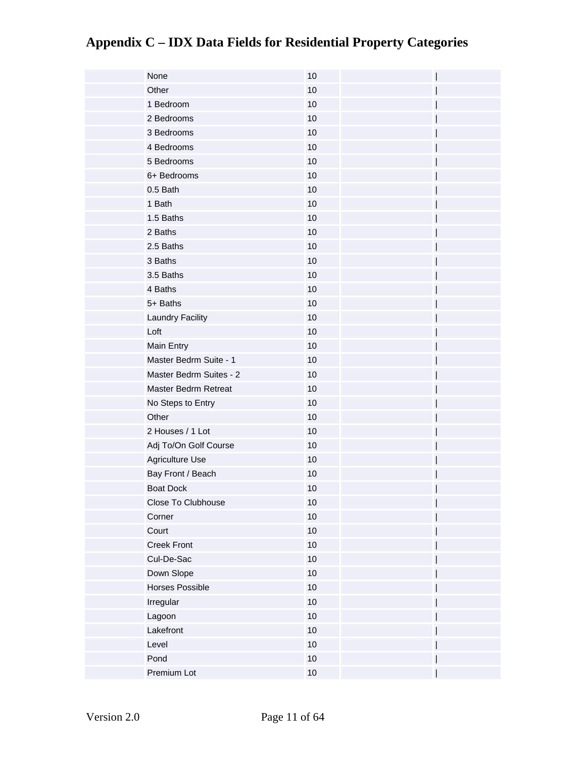| None                    | 10   |
|-------------------------|------|
| Other                   | 10   |
| 1 Bedroom               | 10   |
| 2 Bedrooms              | 10   |
| 3 Bedrooms              | 10   |
| 4 Bedrooms              | 10   |
| 5 Bedrooms              | 10   |
| 6+ Bedrooms             | 10   |
| 0.5 Bath                | 10   |
| 1 Bath                  | 10   |
| 1.5 Baths               | 10   |
| 2 Baths                 | $10$ |
| 2.5 Baths               | $10$ |
| 3 Baths                 | 10   |
| 3.5 Baths               | $10$ |
| 4 Baths                 | $10$ |
| 5+ Baths                | $10$ |
| Laundry Facility        | 10   |
| Loft                    | $10$ |
| Main Entry              | 10   |
| Master Bedrm Suite - 1  | 10   |
| Master Bedrm Suites - 2 | 10   |
| Master Bedrm Retreat    | 10   |
| No Steps to Entry       | 10   |
| Other                   | 10   |
| 2 Houses / 1 Lot        | 10   |
| Adj To/On Golf Course   | 10   |
| Agriculture Use         | 10   |
| Bay Front / Beach       | 10   |
| <b>Boat Dock</b>        | 10   |
| Close To Clubhouse      | 10   |
| Corner                  | $10$ |
| Court                   | 10   |
| Creek Front             | $10$ |
| Cul-De-Sac              | $10$ |
| Down Slope              | $10$ |
| Horses Possible         | $10$ |
| Irregular               | $10$ |
| Lagoon                  | $10$ |
| Lakefront               | $10$ |
| Level                   | $10$ |
| Pond                    | $10$ |
| Premium Lot             | $10$ |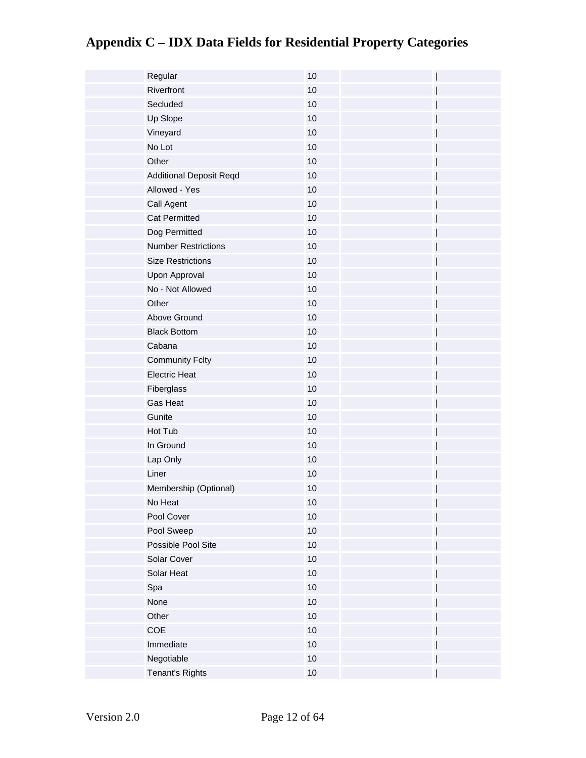| Regular                        | 10   |
|--------------------------------|------|
| Riverfront                     | 10   |
| Secluded                       | 10   |
| Up Slope                       | 10   |
| Vineyard                       | 10   |
| No Lot                         | 10   |
| Other                          | 10   |
| <b>Additional Deposit Reqd</b> | 10   |
| Allowed - Yes                  | 10   |
| Call Agent                     | 10   |
| <b>Cat Permitted</b>           | 10   |
| Dog Permitted                  | 10   |
| <b>Number Restrictions</b>     | 10   |
| <b>Size Restrictions</b>       | 10   |
| Upon Approval                  | 10   |
| No - Not Allowed               | 10   |
| Other                          | 10   |
| Above Ground                   | 10   |
| <b>Black Bottom</b>            | 10   |
| Cabana                         | 10   |
| <b>Community Fclty</b>         | 10   |
| <b>Electric Heat</b>           | 10   |
| Fiberglass                     | 10   |
| Gas Heat                       | 10   |
| Gunite                         | 10   |
| Hot Tub                        | 10   |
| In Ground                      | 10   |
| Lap Only                       | 10   |
| Liner                          | 10   |
| Membership (Optional)          | 10   |
| No Heat                        | 10   |
| Pool Cover                     | 10   |
| Pool Sweep                     | 10   |
| Possible Pool Site             | 10   |
| Solar Cover                    | 10   |
| Solar Heat                     | 10   |
| Spa                            | $10$ |
| None                           | 10   |
| Other                          | 10   |
| COE                            | 10   |
| Immediate                      | $10$ |
| Negotiable                     | 10   |
| Tenant's Rights                | $10$ |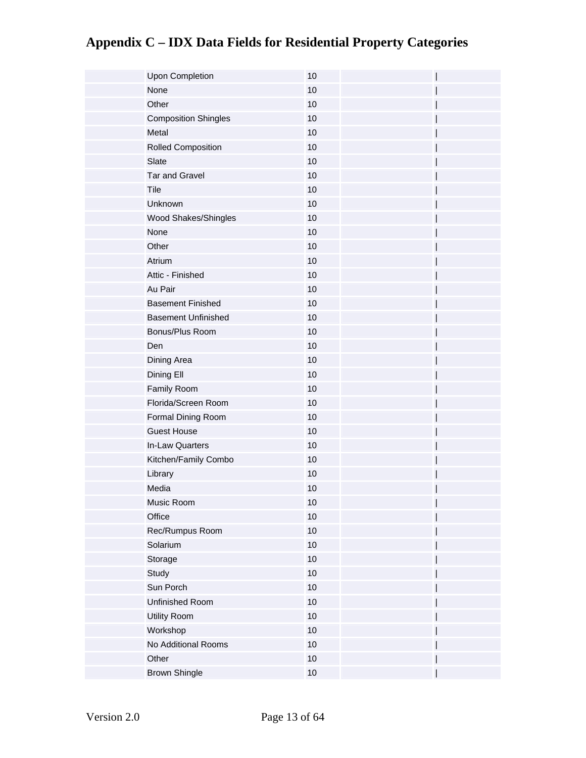| <b>Upon Completion</b>      | 10   |  |
|-----------------------------|------|--|
| None                        | 10   |  |
| Other                       | 10   |  |
| <b>Composition Shingles</b> | 10   |  |
| Metal                       | 10   |  |
| Rolled Composition          | 10   |  |
| Slate                       | 10   |  |
| <b>Tar and Gravel</b>       | 10   |  |
| Tile                        | 10   |  |
| Unknown                     | 10   |  |
| Wood Shakes/Shingles        | 10   |  |
| None                        | 10   |  |
| Other                       | 10   |  |
| Atrium                      | 10   |  |
| Attic - Finished            | 10   |  |
| Au Pair                     | 10   |  |
| <b>Basement Finished</b>    | 10   |  |
| <b>Basement Unfinished</b>  | 10   |  |
| Bonus/Plus Room             | 10   |  |
| Den                         | 10   |  |
| Dining Area                 | 10   |  |
| Dining Ell                  | 10   |  |
| Family Room                 | 10   |  |
| Florida/Screen Room         | 10   |  |
| Formal Dining Room          | 10   |  |
| <b>Guest House</b>          | 10   |  |
| In-Law Quarters             | 10   |  |
| Kitchen/Family Combo        | $10$ |  |
| Library                     | 10   |  |
| Media                       | 10   |  |
| Music Room                  | 10   |  |
| Office                      | $10$ |  |
| Rec/Rumpus Room             | 10   |  |
| Solarium                    | $10$ |  |
| Storage                     | $10$ |  |
| Study                       | $10$ |  |
| Sun Porch                   | 10   |  |
| Unfinished Room             | 10   |  |
| Utility Room                | $10$ |  |
| Workshop                    | $10$ |  |
| No Additional Rooms         | 10   |  |
| Other                       | 10   |  |
| <b>Brown Shingle</b>        | $10$ |  |
|                             |      |  |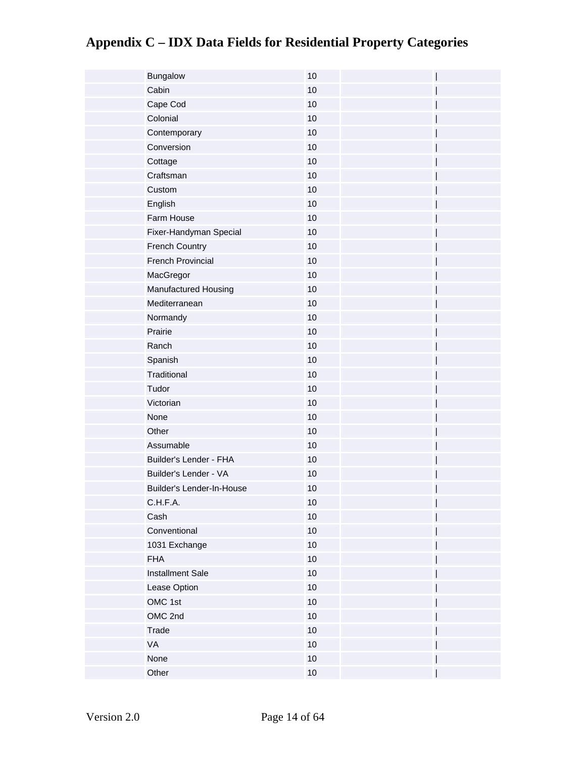| Bungalow                  | 10   |
|---------------------------|------|
| Cabin                     | 10   |
| Cape Cod                  | 10   |
| Colonial                  | 10   |
| Contemporary              | 10   |
| Conversion                | 10   |
| Cottage                   | 10   |
| Craftsman                 | 10   |
| Custom                    | 10   |
| English                   | 10   |
| Farm House                | $10$ |
| Fixer-Handyman Special    | 10   |
| <b>French Country</b>     | 10   |
| French Provincial         | 10   |
| MacGregor                 | 10   |
| Manufactured Housing      | 10   |
| Mediterranean             | 10   |
| Normandy                  | 10   |
| Prairie                   | $10$ |
| Ranch                     | $10$ |
| Spanish                   | 10   |
| Traditional               | 10   |
| Tudor                     | 10   |
| Victorian                 | 10   |
| None                      | 10   |
| Other                     | 10   |
| Assumable                 | 10   |
| Builder's Lender - FHA    | $10$ |
| Builder's Lender - VA     | 10   |
| Builder's Lender-In-House | 10   |
| C.H.F.A.                  | 10   |
| Cash                      | $10$ |
| Conventional              | 10   |
| 1031 Exchange             | $10$ |
| <b>FHA</b>                | $10$ |
| Installment Sale          | $10$ |
| Lease Option              | 10   |
| OMC 1st                   | $10$ |
| OMC 2nd                   | $10$ |
| Trade                     | $10$ |
| VA                        | 10   |
| None                      | 10   |
| Other                     | $10$ |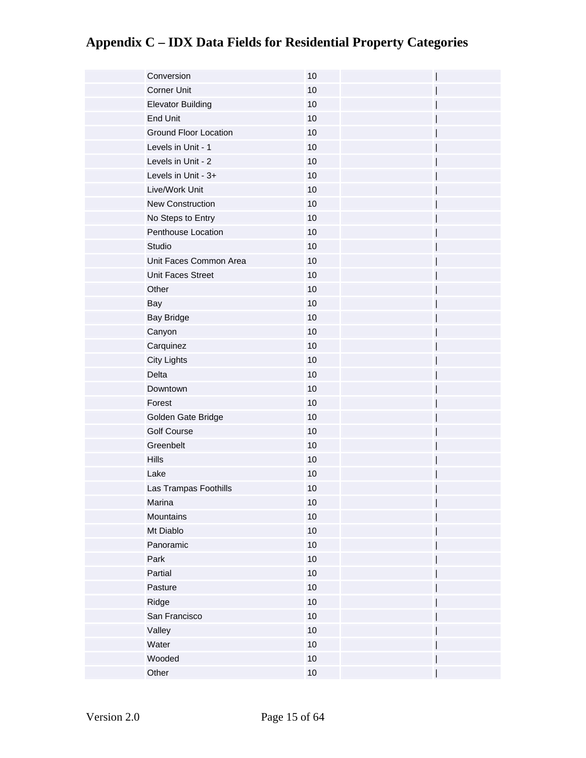| Conversion                   | 10   |
|------------------------------|------|
| <b>Corner Unit</b>           | 10   |
| <b>Elevator Building</b>     | 10   |
| <b>End Unit</b>              | 10   |
| <b>Ground Floor Location</b> | 10   |
| Levels in Unit - 1           | 10   |
| Levels in Unit - 2           | 10   |
| Levels in Unit - 3+          | 10   |
| Live/Work Unit               | 10   |
| <b>New Construction</b>      | 10   |
| No Steps to Entry            | 10   |
| Penthouse Location           | $10$ |
| Studio                       | $10$ |
| Unit Faces Common Area       | $10$ |
| Unit Faces Street            | $10$ |
| Other                        | $10$ |
| Bay                          | $10$ |
| <b>Bay Bridge</b>            | $10$ |
| Canyon                       | $10$ |
| Carquinez                    | $10$ |
| <b>City Lights</b>           | 10   |
| Delta                        | 10   |
| Downtown                     | 10   |
| Forest                       | 10   |
| Golden Gate Bridge           | 10   |
| <b>Golf Course</b>           | 10   |
| Greenbelt                    | 10   |
| <b>Hills</b>                 | 10   |
| Lake                         | $10$ |
| Las Trampas Foothills        | 10   |
| Marina                       | 10   |
| Mountains                    | 10   |
| Mt Diablo                    | 10   |
| Panoramic                    | 10   |
| Park                         | 10   |
| Partial                      | 10   |
| Pasture                      | 10   |
| Ridge                        | 10   |
| San Francisco                | 10   |
| Valley                       | 10   |
| Water                        | 10   |
| Wooded                       | 10   |
| Other                        | $10$ |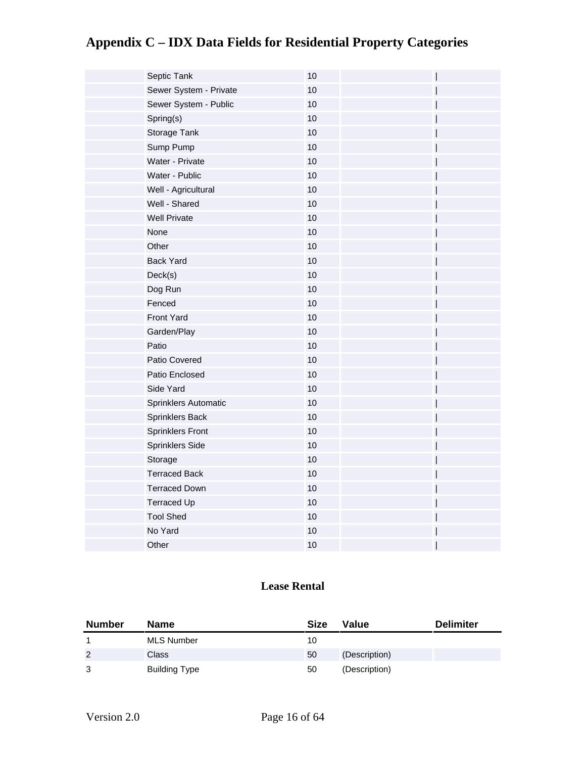| Septic Tank            | 10 |  |
|------------------------|----|--|
| Sewer System - Private | 10 |  |
| Sewer System - Public  | 10 |  |
| Spring(s)              | 10 |  |
| Storage Tank           | 10 |  |
| Sump Pump              | 10 |  |
| Water - Private        | 10 |  |
| Water - Public         | 10 |  |
| Well - Agricultural    | 10 |  |
| Well - Shared          | 10 |  |
| <b>Well Private</b>    | 10 |  |
| None                   | 10 |  |
| Other                  | 10 |  |
| <b>Back Yard</b>       | 10 |  |
| Deck(s)                | 10 |  |
| Dog Run                | 10 |  |
| Fenced                 | 10 |  |
| Front Yard             | 10 |  |
| Garden/Play            | 10 |  |
| Patio                  | 10 |  |
| Patio Covered          | 10 |  |
| Patio Enclosed         | 10 |  |
| Side Yard              | 10 |  |
| Sprinklers Automatic   | 10 |  |
| Sprinklers Back        | 10 |  |
| Sprinklers Front       | 10 |  |
| Sprinklers Side        | 10 |  |
| Storage                | 10 |  |
| <b>Terraced Back</b>   | 10 |  |
| <b>Terraced Down</b>   | 10 |  |
| <b>Terraced Up</b>     | 10 |  |
| <b>Tool Shed</b>       | 10 |  |
| No Yard                | 10 |  |
| Other                  | 10 |  |

#### **Lease Rental**

| <b>Number</b> | <b>Name</b>       | <b>Size</b> | Value         | <b>Delimiter</b> |
|---------------|-------------------|-------------|---------------|------------------|
|               | <b>MLS Number</b> | 10          |               |                  |
| 2             | <b>Class</b>      | 50          | (Description) |                  |
| 3             | Building Type     | 50          | (Description) |                  |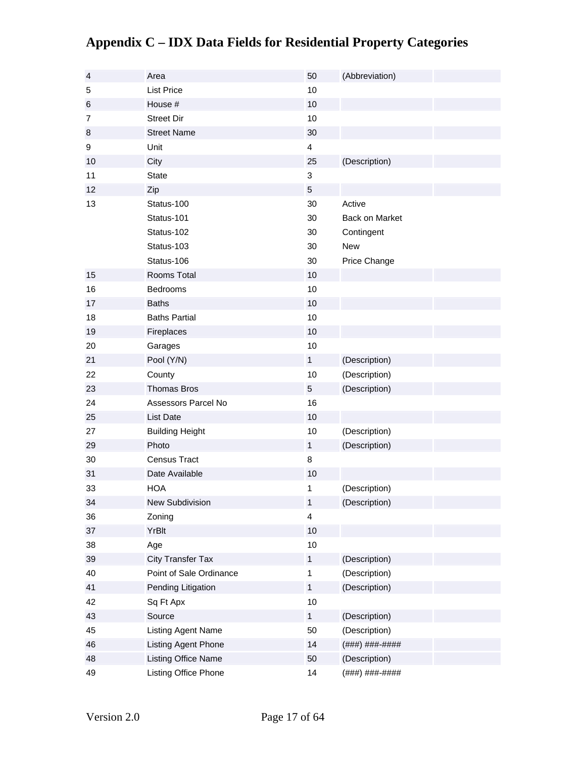| $\overline{4}$ | Area                                       | 50                      | (Abbreviation)                  |
|----------------|--------------------------------------------|-------------------------|---------------------------------|
| 5              | <b>List Price</b>                          | 10                      |                                 |
| 6              | House #                                    | 10                      |                                 |
| $\overline{7}$ | <b>Street Dir</b>                          | 10                      |                                 |
| 8              | <b>Street Name</b>                         | 30                      |                                 |
| 9              | Unit                                       | $\overline{\mathbf{4}}$ |                                 |
| 10             | City                                       | 25                      | (Description)                   |
| 11             | <b>State</b>                               | 3                       |                                 |
| 12             | Zip                                        | $\sqrt{5}$              |                                 |
| 13             | Status-100                                 | 30                      | Active                          |
|                | Status-101                                 | 30                      | Back on Market                  |
|                | Status-102                                 | 30                      | Contingent                      |
|                | Status-103                                 | 30                      | <b>New</b>                      |
|                | Status-106                                 | 30                      | Price Change                    |
| 15             | Rooms Total                                | 10                      |                                 |
| 16             | <b>Bedrooms</b>                            | 10                      |                                 |
| 17             | <b>Baths</b>                               | 10                      |                                 |
| 18             | <b>Baths Partial</b>                       | 10                      |                                 |
| 19             | Fireplaces                                 | 10                      |                                 |
| 20             | Garages                                    | 10                      |                                 |
| 21             | Pool (Y/N)                                 | $\mathbf{1}$            | (Description)                   |
| 22             | County                                     | 10                      | (Description)                   |
| 23             | Thomas Bros                                | 5                       | (Description)                   |
| 24             | Assessors Parcel No                        | 16                      |                                 |
| 25             | <b>List Date</b>                           | 10                      |                                 |
| 27             | <b>Building Height</b>                     | 10                      | (Description)                   |
| 29             | Photo                                      | $\mathbf{1}$            | (Description)                   |
| 30             | Census Tract                               | 8                       |                                 |
| 31             | Date Available                             | 10                      |                                 |
| 33             | <b>HOA</b>                                 | 1                       | (Description)                   |
| 34             | New Subdivision                            | $\mathbf{1}$            | (Description)                   |
| 36             | Zoning                                     | 4                       |                                 |
| 37             | YrBlt                                      | 10                      |                                 |
| 38             | Age                                        | 10                      |                                 |
| 39             | <b>City Transfer Tax</b>                   | $\mathbf{1}$            | (Description)                   |
| 40             | Point of Sale Ordinance                    | 1                       | (Description)                   |
| 41             | Pending Litigation                         | $\mathbf{1}$            | (Description)                   |
| 42             | Sq Ft Apx                                  | 10                      |                                 |
| 43             | Source                                     | $\mathbf{1}$            | (Description)                   |
| 45             | Listing Agent Name                         | 50                      | (Description)                   |
| 46             |                                            |                         |                                 |
|                |                                            |                         |                                 |
| 48             | Listing Agent Phone<br>Listing Office Name | 14<br>50                | (###) ###-####<br>(Description) |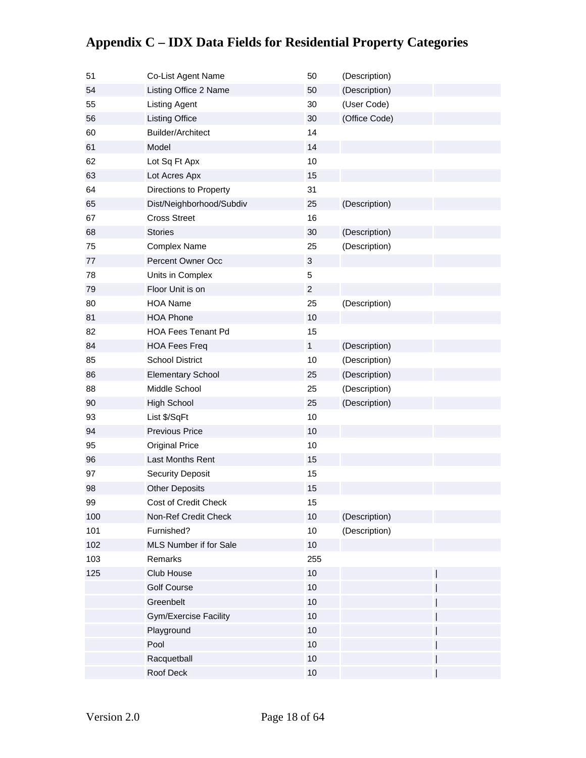#### 54 Listing Office 2 Name 50 (Description) 55 Listing Agent 30 (User Code) 56 Listing Office 30 (Office Code) 60 Builder/Architect 14 61 Model 14 62 Lot Sq Ft Apx 10 63 Lot Acres Apx 15 64 Directions to Property 31 65 Dist/Neighborhood/Subdiv 25 (Description) 67 Cross Street 16 68 Stories 30 (Description) 75 Complex Name 25 (Description) 77 **Percent Owner Occ** 3 78 Units in Complex 5 79 Floor Unit is on 2 80 HOA Name 25 (Description) 81 HOA Phone 10 82 HOA Fees Tenant Pd 15 84 HOA Fees Freq 1 (Description) 85 School District 10 (Description) 86 **Elementary School** 25 (Description) 88 Middle School 25 (Description) 90 High School 25 (Description) 93 List \$/SqFt 10 94 Previous Price 10 95 Original Price 2012 10 96 Last Months Rent 15 97 Security Deposit 15 98 Other Deposits 15 99 Cost of Credit Check 15 100 Non-Ref Credit Check 10 (Description) 101 Furnished? 10 (Description) 102 MLS Number if for Sale 10 103 Remarks 255 125 Club House 10 10 Golf Course 10 | Greenbelt 10 | Gym/Exercise Facility 10 Playground 10 and 10 and 10 and 10 and 10 and 10 and 10 and 10 and 10 and 10 and 10 and 10 and 10 and 10 and 10 Pool 10 | Racquetball 10 | Roof Deck 10 |

#### **Appendix C – IDX Data Fields for Residential Property Categories**

51 Co-List Agent Name 50 (Description)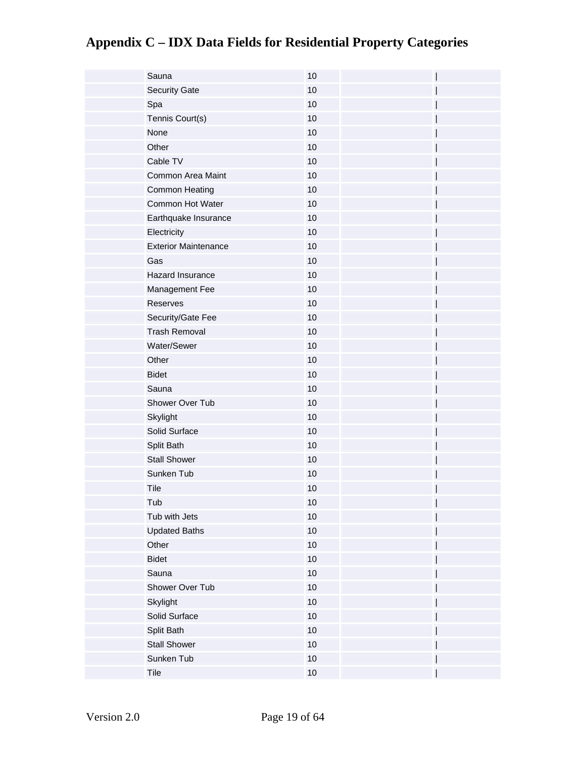| Sauna                       | 10   |
|-----------------------------|------|
| <b>Security Gate</b>        | 10   |
| Spa                         | 10   |
| Tennis Court(s)             | 10   |
| None                        | 10   |
| Other                       | 10   |
| Cable TV                    | 10   |
| Common Area Maint           | 10   |
| Common Heating              | 10   |
| Common Hot Water            | 10   |
| Earthquake Insurance        | $10$ |
| Electricity                 | $10$ |
| <b>Exterior Maintenance</b> | $10$ |
| Gas                         | 10   |
| Hazard Insurance            | $10$ |
| Management Fee              | 10   |
| Reserves                    | 10   |
| Security/Gate Fee           | 10   |
| <b>Trash Removal</b>        | $10$ |
| Water/Sewer                 | 10   |
| Other                       | 10   |
| <b>Bidet</b>                | 10   |
| Sauna                       | 10   |
| Shower Over Tub             | 10   |
| Skylight                    | 10   |
| Solid Surface               | 10   |
| Split Bath                  | 10   |
| <b>Stall Shower</b>         | 10   |
| Sunken Tub                  | 10   |
| Tile                        | 10   |
| Tub                         | 10   |
| Tub with Jets               | $10$ |
| <b>Updated Baths</b>        | 10   |
| Other                       | $10$ |
| <b>Bidet</b>                | $10$ |
| Sauna                       | $10$ |
| Shower Over Tub             | 10   |
| Skylight                    | $10$ |
| Solid Surface               | $10$ |
| Split Bath                  | $10$ |
| <b>Stall Shower</b>         | $10$ |
| Sunken Tub                  | $10$ |
| Tile                        | $10$ |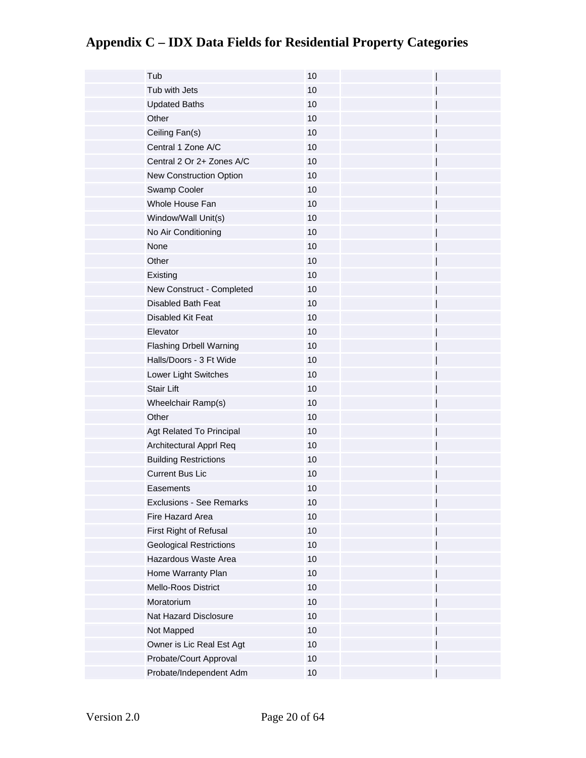| Tub                             | 10   |
|---------------------------------|------|
| Tub with Jets                   | 10   |
| <b>Updated Baths</b>            | 10   |
| Other                           | 10   |
| Ceiling Fan(s)                  | 10   |
| Central 1 Zone A/C              | 10   |
| Central 2 Or 2+ Zones A/C       | 10   |
| New Construction Option         | 10   |
| Swamp Cooler                    | 10   |
| Whole House Fan                 | 10   |
| Window/Wall Unit(s)             | 10   |
| No Air Conditioning             | 10   |
| None                            | 10   |
| Other                           | 10   |
| Existing                        | 10   |
| New Construct - Completed       | 10   |
| Disabled Bath Feat              | 10   |
| Disabled Kit Feat               | 10   |
| Elevator                        | 10   |
| <b>Flashing Drbell Warning</b>  | 10   |
| Halls/Doors - 3 Ft Wide         | 10   |
| Lower Light Switches            | 10   |
| <b>Stair Lift</b>               | 10   |
| Wheelchair Ramp(s)              | 10   |
| Other                           | 10   |
| Agt Related To Principal        | 10   |
| Architectural Apprl Req         | 10   |
| <b>Building Restrictions</b>    | 10   |
| <b>Current Bus Lic</b>          | 10   |
| Easements                       | 10   |
| <b>Exclusions - See Remarks</b> | $10$ |
| Fire Hazard Area                | 10   |
| First Right of Refusal          | 10   |
| <b>Geological Restrictions</b>  | 10   |
| Hazardous Waste Area            | 10   |
| Home Warranty Plan              | 10   |
| Mello-Roos District             | 10   |
| Moratorium                      | 10   |
| Nat Hazard Disclosure           | 10   |
| Not Mapped                      | 10   |
| Owner is Lic Real Est Agt       | 10   |
| Probate/Court Approval          | 10   |
| Probate/Independent Adm         | 10   |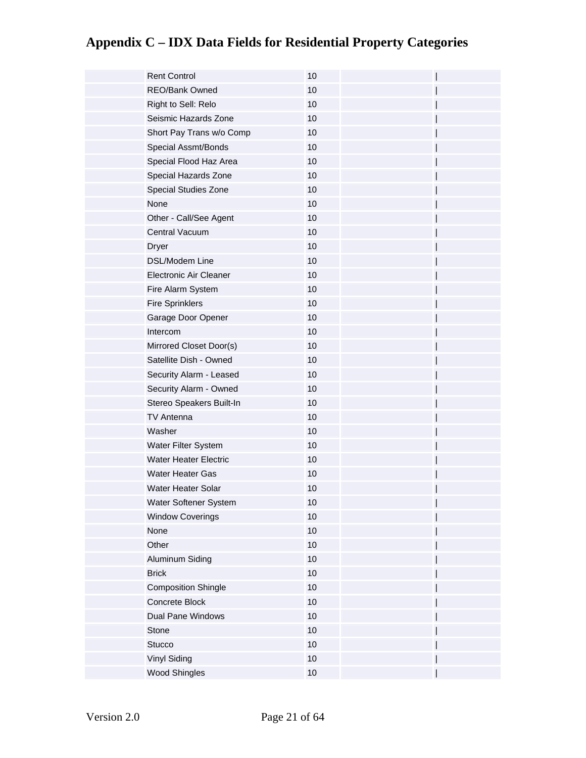| <b>Rent Control</b>          | 10   |  |
|------------------------------|------|--|
| <b>REO/Bank Owned</b>        | 10   |  |
| Right to Sell: Relo          | 10   |  |
| Seismic Hazards Zone         | 10   |  |
| Short Pay Trans w/o Comp     | 10   |  |
| Special Assmt/Bonds          | 10   |  |
| Special Flood Haz Area       | 10   |  |
| Special Hazards Zone         | 10   |  |
| Special Studies Zone         | 10   |  |
| None                         | 10   |  |
| Other - Call/See Agent       | 10   |  |
| Central Vacuum               | $10$ |  |
| <b>Dryer</b>                 | 10   |  |
| <b>DSL/Modem Line</b>        | 10   |  |
| Electronic Air Cleaner       | 10   |  |
| Fire Alarm System            | $10$ |  |
| <b>Fire Sprinklers</b>       | 10   |  |
| Garage Door Opener           | 10   |  |
| Intercom                     | 10   |  |
| Mirrored Closet Door(s)      | 10   |  |
| Satellite Dish - Owned       | 10   |  |
| Security Alarm - Leased      | 10   |  |
| Security Alarm - Owned       | 10   |  |
| Stereo Speakers Built-In     | 10   |  |
| <b>TV Antenna</b>            | 10   |  |
| Washer                       | 10   |  |
| Water Filter System          | 10   |  |
| <b>Water Heater Electric</b> | 10   |  |
| <b>Water Heater Gas</b>      | $10$ |  |
| Water Heater Solar           | 10   |  |
| Water Softener System        | 10   |  |
| <b>Window Coverings</b>      | $10$ |  |
| None                         | 10   |  |
| Other                        | $10$ |  |
| Aluminum Siding              | $10$ |  |
| <b>Brick</b>                 | $10$ |  |
| <b>Composition Shingle</b>   | 10   |  |
| Concrete Block               | $10$ |  |
| Dual Pane Windows            | $10$ |  |
| Stone                        | $10$ |  |
| Stucco                       | $10$ |  |
| Vinyl Siding                 | 10   |  |
| <b>Wood Shingles</b>         | $10$ |  |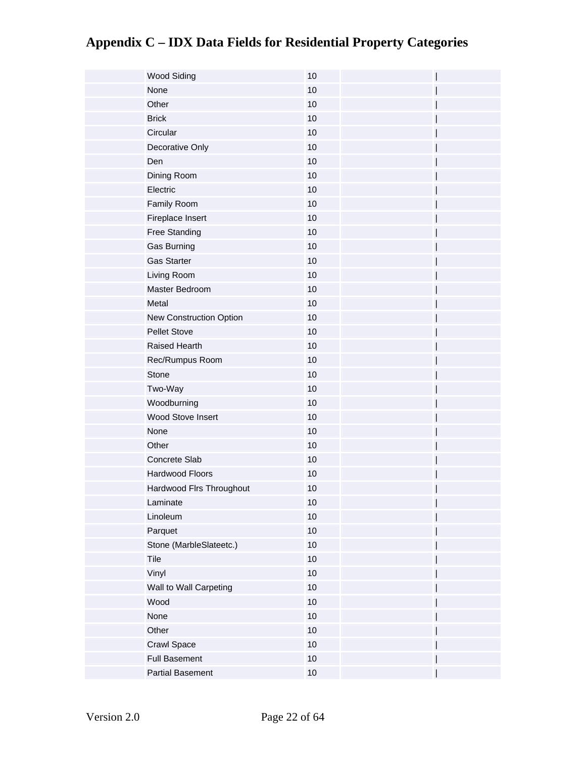| <b>Wood Siding</b>       | 10   |
|--------------------------|------|
| None                     | 10   |
| Other                    | 10   |
| <b>Brick</b>             | 10   |
| Circular                 | 10   |
| Decorative Only          | 10   |
| Den                      | 10   |
| Dining Room              | 10   |
| Electric                 | 10   |
| Family Room              | 10   |
| Fireplace Insert         | $10$ |
| Free Standing            | $10$ |
| Gas Burning              | $10$ |
| <b>Gas Starter</b>       | 10   |
| Living Room              | $10$ |
| Master Bedroom           | 10   |
| Metal                    | $10$ |
| New Construction Option  | 10   |
| <b>Pellet Stove</b>      | $10$ |
| Raised Hearth            | 10   |
| Rec/Rumpus Room          | 10   |
| Stone                    | 10   |
| Two-Way                  | 10   |
| Woodburning              | 10   |
| Wood Stove Insert        | 10   |
| None                     | 10   |
| Other                    | 10   |
| Concrete Slab            | 10   |
| Hardwood Floors          | 10   |
| Hardwood Flrs Throughout | 10   |
| Laminate                 | 10   |
| Linoleum                 | $10$ |
| Parquet                  | 10   |
| Stone (MarbleSlateetc.)  | $10$ |
| Tile                     | $10$ |
| Vinyl                    | $10$ |
| Wall to Wall Carpeting   | 10   |
| Wood                     | $10$ |
| None                     | $10$ |
| Other                    | $10$ |
| Crawl Space              | 10   |
| <b>Full Basement</b>     | 10   |
| <b>Partial Basement</b>  | $10$ |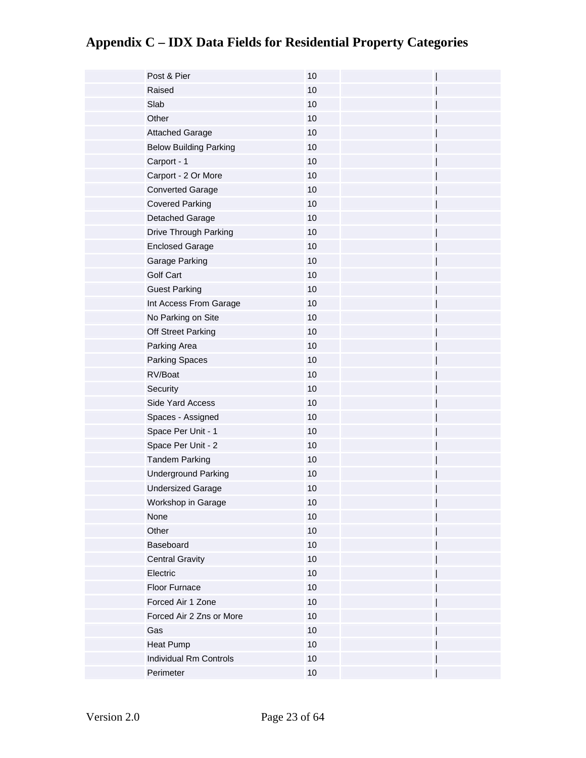| Post & Pier                   | 10   |  |
|-------------------------------|------|--|
| Raised                        | 10   |  |
| Slab                          | 10   |  |
| Other                         | 10   |  |
| <b>Attached Garage</b>        | 10   |  |
| <b>Below Building Parking</b> | 10   |  |
| Carport - 1                   | 10   |  |
| Carport - 2 Or More           | $10$ |  |
| <b>Converted Garage</b>       | $10$ |  |
| <b>Covered Parking</b>        | $10$ |  |
| Detached Garage               | 10   |  |
| Drive Through Parking         | $10$ |  |
| <b>Enclosed Garage</b>        | $10$ |  |
| Garage Parking                | $10$ |  |
| <b>Golf Cart</b>              | 10   |  |
| <b>Guest Parking</b>          | 10   |  |
| Int Access From Garage        | $10$ |  |
| No Parking on Site            | 10   |  |
| Off Street Parking            | 10   |  |
| Parking Area                  | $10$ |  |
| <b>Parking Spaces</b>         | 10   |  |
| RV/Boat                       | 10   |  |
| Security                      | 10   |  |
| Side Yard Access              | 10   |  |
| Spaces - Assigned             | 10   |  |
| Space Per Unit - 1            | 10   |  |
| Space Per Unit - 2            | $10$ |  |
| <b>Tandem Parking</b>         | 10   |  |
| <b>Underground Parking</b>    | $10$ |  |
| <b>Undersized Garage</b>      | 10   |  |
| Workshop in Garage            | $10$ |  |
| None                          | 10   |  |
| Other                         | 10   |  |
| Baseboard                     | $10$ |  |
| <b>Central Gravity</b>        | $10$ |  |
| Electric                      | $10$ |  |
| Floor Furnace                 | $10$ |  |
| Forced Air 1 Zone             | 10   |  |
| Forced Air 2 Zns or More      | $10$ |  |
| Gas                           | 10   |  |
| <b>Heat Pump</b>              | 10   |  |
| <b>Individual Rm Controls</b> | 10   |  |
| Perimeter                     | $10$ |  |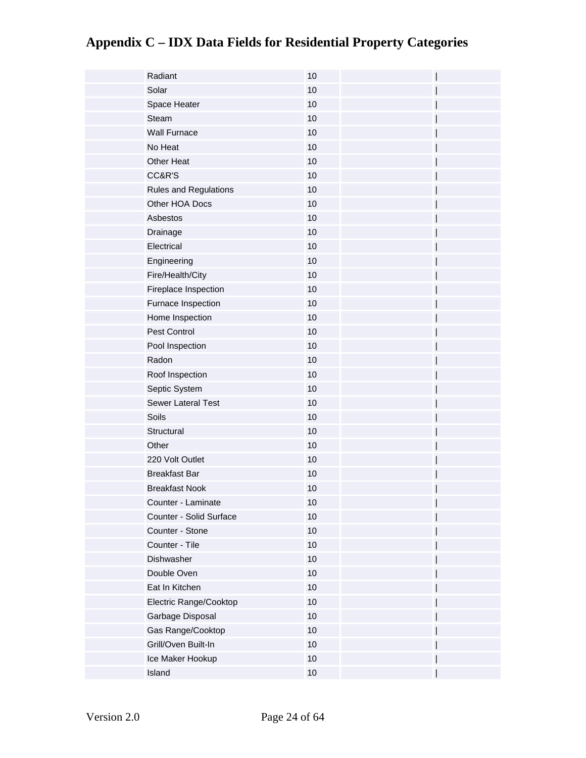| Radiant                 | 10   |  |
|-------------------------|------|--|
| Solar                   | 10   |  |
| Space Heater            | 10   |  |
| Steam                   | 10   |  |
| <b>Wall Furnace</b>     | 10   |  |
| No Heat                 | 10   |  |
| Other Heat              | 10   |  |
| CC&R'S                  | $10$ |  |
| Rules and Regulations   | 10   |  |
| Other HOA Docs          | 10   |  |
| Asbestos                | 10   |  |
| Drainage                | $10$ |  |
| Electrical              | $10$ |  |
| Engineering             | 10   |  |
| Fire/Health/City        | $10$ |  |
| Fireplace Inspection    | $10$ |  |
| Furnace Inspection      | 10   |  |
| Home Inspection         | 10   |  |
| Pest Control            | 10   |  |
| Pool Inspection         | 10   |  |
| Radon                   | 10   |  |
| Roof Inspection         | 10   |  |
| Septic System           | 10   |  |
| Sewer Lateral Test      | 10   |  |
| Soils                   | 10   |  |
| Structural              | 10   |  |
| Other                   | 10   |  |
| 220 Volt Outlet         | 10   |  |
| <b>Breakfast Bar</b>    | $10$ |  |
| <b>Breakfast Nook</b>   | 10   |  |
| Counter - Laminate      | 10   |  |
| Counter - Solid Surface | $10$ |  |
| Counter - Stone         | 10   |  |
| Counter - Tile          | $10$ |  |
| Dishwasher              | $10$ |  |
| Double Oven             | $10$ |  |
| Eat In Kitchen          | $10$ |  |
| Electric Range/Cooktop  | $10$ |  |
| Garbage Disposal        | $10$ |  |
| Gas Range/Cooktop       | $10$ |  |
| Grill/Oven Built-In     | $10$ |  |
| Ice Maker Hookup        | 10   |  |
| Island                  | $10$ |  |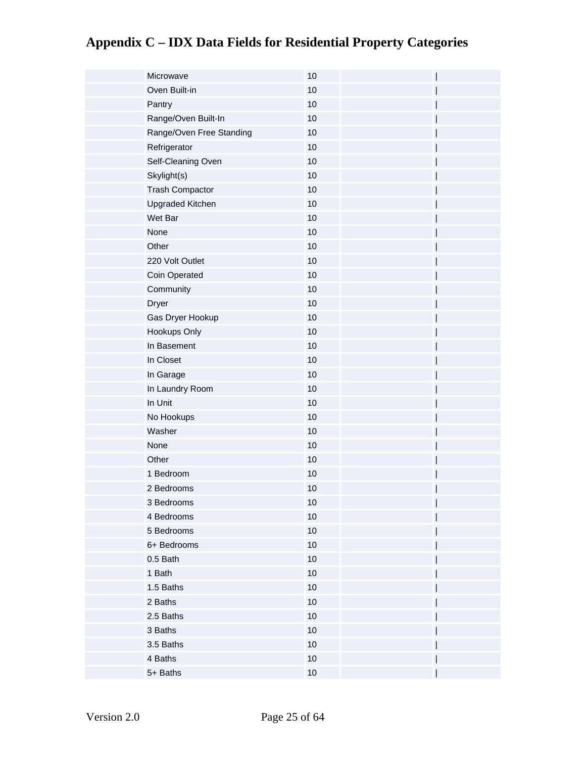| Microwave                | 10   |
|--------------------------|------|
| Oven Built-in            | 10   |
| Pantry                   | 10   |
| Range/Oven Built-In      | 10   |
| Range/Oven Free Standing | 10   |
| Refrigerator             | 10   |
| Self-Cleaning Oven       | $10$ |
| Skylight(s)              | 10   |
| <b>Trash Compactor</b>   | $10$ |
| <b>Upgraded Kitchen</b>  | 10   |
| Wet Bar                  | 10   |
| None                     | 10   |
| Other                    | 10   |
| 220 Volt Outlet          | $10$ |
| Coin Operated            | 10   |
| Community                | $10$ |
| <b>Dryer</b>             | 10   |
| Gas Dryer Hookup         | 10   |
| Hookups Only             | 10   |
| In Basement              | 10   |
| In Closet                | 10   |
| In Garage                | 10   |
| In Laundry Room          | 10   |
| In Unit                  | $10$ |
| No Hookups               | 10   |
| Washer                   | 10   |
| None                     | $10$ |
| Other                    | $10$ |
| 1 Bedroom                | $10$ |
| 2 Bedrooms               | 10   |
| 3 Bedrooms               | 10   |
| 4 Bedrooms               | $10$ |
| 5 Bedrooms               | 10   |
| 6+ Bedrooms              | $10$ |
| 0.5 Bath                 | $10$ |
| 1 Bath                   | $10$ |
| 1.5 Baths                | $10$ |
| 2 Baths                  | 10   |
| 2.5 Baths                | $10$ |
| 3 Baths                  | 10   |
| 3.5 Baths                | $10$ |
| 4 Baths                  | 10   |
| 5+ Baths                 | $10$ |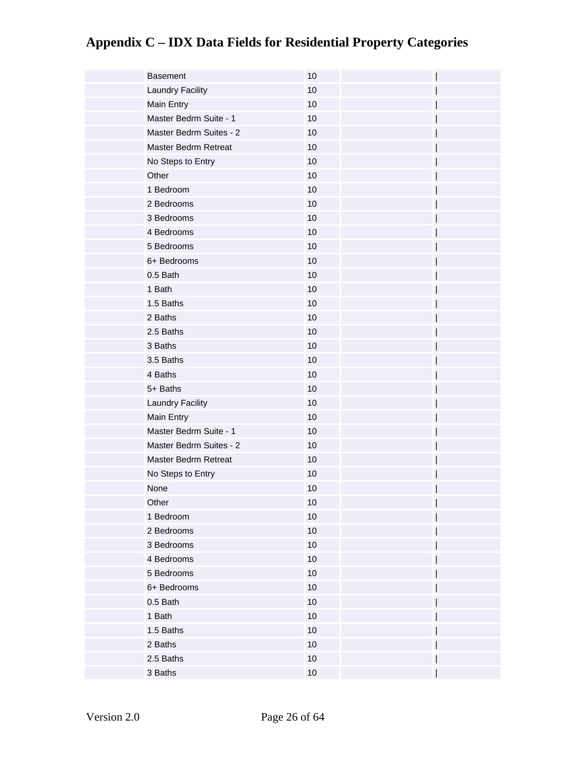| <b>Basement</b>             | 10   |
|-----------------------------|------|
| Laundry Facility            | 10   |
| Main Entry                  | 10   |
| Master Bedrm Suite - 1      | 10   |
| Master Bedrm Suites - 2     | 10   |
| <b>Master Bedrm Retreat</b> | 10   |
| No Steps to Entry           | 10   |
| Other                       | 10   |
| 1 Bedroom                   | 10   |
| 2 Bedrooms                  | 10   |
| 3 Bedrooms                  | 10   |
| 4 Bedrooms                  | $10$ |
| 5 Bedrooms                  | $10$ |
| 6+ Bedrooms                 | 10   |
| 0.5 Bath                    | 10   |
| 1 Bath                      | 10   |
| 1.5 Baths                   | 10   |
| 2 Baths                     | 10   |
| 2.5 Baths                   | 10   |
| 3 Baths                     | 10   |
| 3.5 Baths                   | 10   |
| 4 Baths                     | 10   |
| 5+ Baths                    | 10   |
| Laundry Facility            | 10   |
| Main Entry                  | 10   |
| Master Bedrm Suite - 1      | 10   |
| Master Bedrm Suites - 2     | 10   |
| Master Bedrm Retreat        | 10   |
| No Steps to Entry           | 10   |
| None                        | 10   |
| Other                       | 10   |
| 1 Bedroom                   | $10$ |
| 2 Bedrooms                  | 10   |
| 3 Bedrooms                  | $10$ |
| 4 Bedrooms                  | 10   |
| 5 Bedrooms                  | 10   |
| 6+ Bedrooms                 | $10$ |
| 0.5 Bath                    | $10$ |
| 1 Bath                      | $10$ |
| 1.5 Baths                   | $10$ |
| 2 Baths                     | $10$ |
| 2.5 Baths                   | 10   |
| 3 Baths                     | $10$ |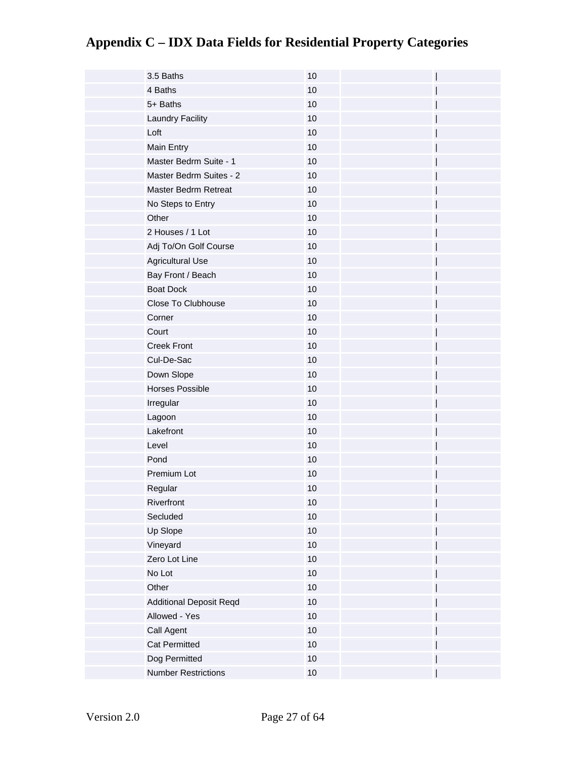| 3.5 Baths                      | 10   |
|--------------------------------|------|
| 4 Baths                        | 10   |
| 5+ Baths                       | 10   |
| Laundry Facility               | 10   |
| Loft                           | 10   |
| Main Entry                     | 10   |
| Master Bedrm Suite - 1         | 10   |
| Master Bedrm Suites - 2        | 10   |
| <b>Master Bedrm Retreat</b>    | 10   |
| No Steps to Entry              | 10   |
| Other                          | 10   |
| 2 Houses / 1 Lot               | 10   |
| Adj To/On Golf Course          | 10   |
| <b>Agricultural Use</b>        | 10   |
| Bay Front / Beach              | 10   |
| <b>Boat Dock</b>               | 10   |
| Close To Clubhouse             | 10   |
| Corner                         | 10   |
| Court                          | 10   |
| <b>Creek Front</b>             | 10   |
| Cul-De-Sac                     | 10   |
| Down Slope                     | 10   |
| <b>Horses Possible</b>         | 10   |
| Irregular                      | 10   |
| Lagoon                         | 10   |
| Lakefront                      | 10   |
| Level                          | 10   |
| Pond                           | 10   |
| Premium Lot                    | 10   |
| Regular                        | 10   |
| Riverfront                     | $10$ |
| Secluded                       | 10   |
| Up Slope                       | $10$ |
| Vineyard                       | 10   |
| Zero Lot Line                  | 10   |
| No Lot                         | 10   |
| Other                          | $10$ |
| <b>Additional Deposit Reqd</b> | 10   |
| Allowed - Yes                  | $10$ |
| Call Agent                     | 10   |
| <b>Cat Permitted</b>           | $10$ |
| Dog Permitted                  | 10   |
| <b>Number Restrictions</b>     | $10$ |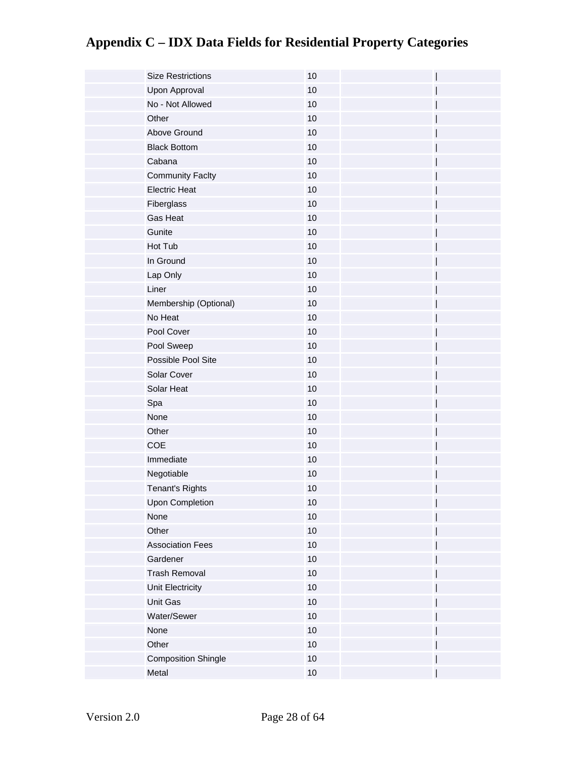| <b>Size Restrictions</b>   | 10     |
|----------------------------|--------|
| Upon Approval              | 10     |
| No - Not Allowed           | 10     |
| Other                      | 10     |
| Above Ground               | 10     |
| <b>Black Bottom</b>        | 10     |
| Cabana                     | 10     |
| <b>Community Faclty</b>    | 10     |
| <b>Electric Heat</b>       | 10     |
| Fiberglass                 | 10     |
| Gas Heat                   | 10     |
| Gunite                     | 10     |
| Hot Tub                    | 10     |
| In Ground                  | 10     |
| Lap Only                   | $10$   |
| Liner                      | 10     |
| Membership (Optional)      | 10     |
| No Heat                    | 10     |
| Pool Cover                 | $10$   |
| Pool Sweep                 | 10     |
| Possible Pool Site         | 10     |
| Solar Cover                | 10     |
| Solar Heat                 | $10$   |
| Spa                        | $10$   |
| None                       | 10     |
| Other                      | 10     |
| COE                        | 10     |
| Immediate                  | 10     |
| Negotiable                 | 10     |
| <b>Tenant's Rights</b>     | 10     |
| Upon Completion            | 10     |
| None                       | $10$   |
| Other                      | 10     |
| <b>Association Fees</b>    | $10$   |
| Gardener                   | 10     |
| <b>Trash Removal</b>       | $10$   |
| Unit Electricity           | $10$   |
| Unit Gas                   | $10$   |
| Water/Sewer                | $10$   |
| None                       | $10$   |
| Other                      | $10$   |
| <b>Composition Shingle</b> | $10$   |
| Metal                      | $10\,$ |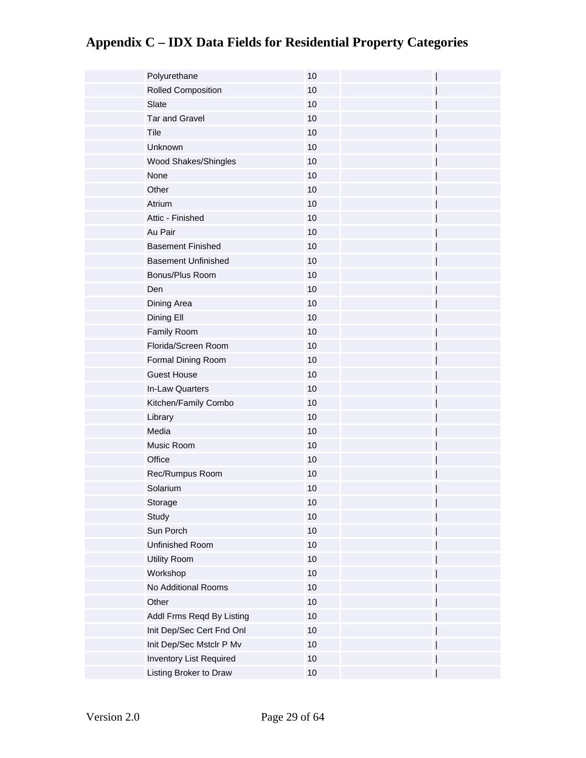| Polyurethane               | 10   |
|----------------------------|------|
| Rolled Composition         | 10   |
| Slate                      | 10   |
| <b>Tar and Gravel</b>      | 10   |
| Tile                       | 10   |
| Unknown                    | 10   |
| Wood Shakes/Shingles       | 10   |
| None                       | 10   |
| Other                      | 10   |
| Atrium                     | 10   |
| Attic - Finished           | 10   |
| Au Pair                    | 10   |
| <b>Basement Finished</b>   | 10   |
| <b>Basement Unfinished</b> | 10   |
| Bonus/Plus Room            | 10   |
| Den                        | 10   |
| Dining Area                | 10   |
| Dining Ell                 | 10   |
| Family Room                | 10   |
| Florida/Screen Room        | 10   |
| Formal Dining Room         | 10   |
| <b>Guest House</b>         | 10   |
| In-Law Quarters            | 10   |
| Kitchen/Family Combo       | 10   |
| Library                    | 10   |
| Media                      | 10   |
| Music Room                 | 10   |
| Office                     | $10$ |
| Rec/Rumpus Room            | $10$ |
| Solarium                   | 10   |
| Storage                    | $10$ |
| Study                      | $10$ |
| Sun Porch                  | 10   |
| Unfinished Room            | $10$ |
| Utility Room               | $10$ |
| Workshop                   | $10$ |
| No Additional Rooms        | 10   |
| Other                      | $10$ |
| Addl Frms Reqd By Listing  | $10$ |
| Init Dep/Sec Cert Fnd Onl  | 10   |
| Init Dep/Sec Mstclr P Mv   | 10   |
| Inventory List Required    | 10   |
| Listing Broker to Draw     | $10$ |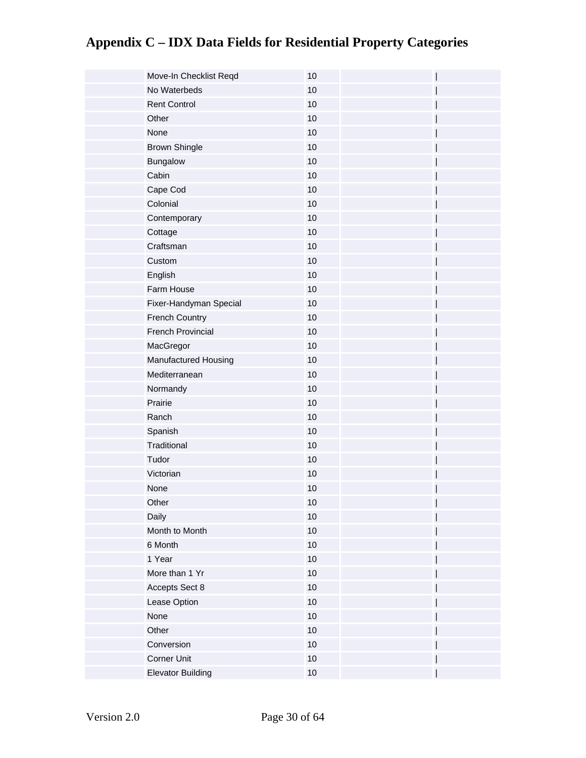| Move-In Checklist Reqd   | 10   |
|--------------------------|------|
| No Waterbeds             | 10   |
| <b>Rent Control</b>      | 10   |
| Other                    | 10   |
| None                     | 10   |
| <b>Brown Shingle</b>     | 10   |
| Bungalow                 | 10   |
| Cabin                    | 10   |
| Cape Cod                 | 10   |
| Colonial                 | 10   |
| Contemporary             | 10   |
| Cottage                  | 10   |
| Craftsman                | 10   |
| Custom                   | 10   |
| English                  | $10$ |
| Farm House               | 10   |
| Fixer-Handyman Special   | 10   |
| <b>French Country</b>    | 10   |
| French Provincial        | 10   |
| MacGregor                | $10$ |
| Manufactured Housing     | 10   |
| Mediterranean            | 10   |
| Normandy                 | 10   |
| Prairie                  | 10   |
| Ranch                    | 10   |
| Spanish                  | 10   |
| Traditional              | 10   |
| Tudor                    | $10$ |
| Victorian                | $10$ |
| None                     | 10   |
| Other                    | $10$ |
| Daily                    | $10$ |
| Month to Month           | 10   |
| 6 Month                  | $10$ |
| 1 Year                   | $10$ |
| More than 1 Yr           | $10$ |
| Accepts Sect 8           | 10   |
| Lease Option             | $10$ |
| None                     | $10$ |
| Other                    | $10$ |
| Conversion               | 10   |
| Corner Unit              | 10   |
| <b>Elevator Building</b> | $10$ |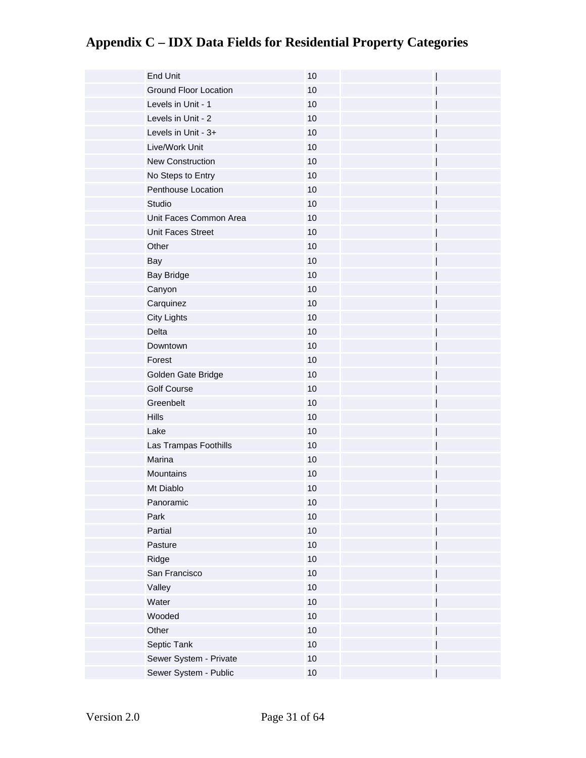| <b>End Unit</b>              | 10   |
|------------------------------|------|
| <b>Ground Floor Location</b> | 10   |
| Levels in Unit - 1           | 10   |
| Levels in Unit - 2           | 10   |
| Levels in Unit - 3+          | 10   |
| Live/Work Unit               | 10   |
| <b>New Construction</b>      | 10   |
| No Steps to Entry            | 10   |
| Penthouse Location           | 10   |
| Studio                       | 10   |
| Unit Faces Common Area       | 10   |
| Unit Faces Street            | $10$ |
| Other                        | 10   |
| Bay                          | 10   |
| <b>Bay Bridge</b>            | $10$ |
| Canyon                       | 10   |
| Carquinez                    | $10$ |
| <b>City Lights</b>           | 10   |
| Delta                        | 10   |
| Downtown                     | 10   |
| Forest                       | $10$ |
| Golden Gate Bridge           | 10   |
| <b>Golf Course</b>           | 10   |
| Greenbelt                    | 10   |
| <b>Hills</b>                 | 10   |
| Lake                         | 10   |
| Las Trampas Foothills        | 10   |
| Marina                       | 10   |
| Mountains                    | 10   |
| Mt Diablo                    | 10   |
| Panoramic                    | 10   |
| Park                         | $10$ |
| Partial                      | 10   |
| Pasture                      | $10$ |
| Ridge                        | $10$ |
| San Francisco                | $10$ |
| Valley                       | $10$ |
| Water                        | $10$ |
| Wooded                       | $10$ |
| Other                        | $10$ |
| Septic Tank                  | $10$ |
| Sewer System - Private       | $10$ |
| Sewer System - Public        | $10$ |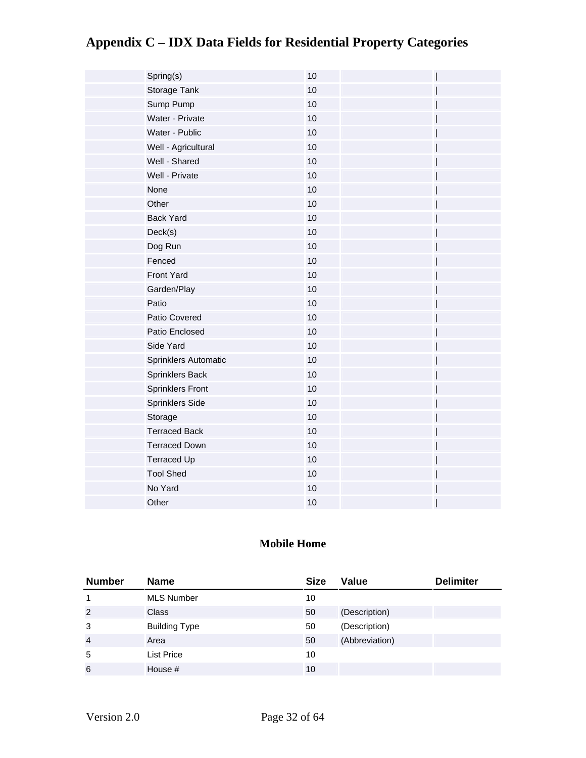| Spring(s)               | 10 |
|-------------------------|----|
| Storage Tank            | 10 |
| Sump Pump               | 10 |
| Water - Private         | 10 |
| Water - Public          | 10 |
| Well - Agricultural     | 10 |
| Well - Shared           | 10 |
| Well - Private          | 10 |
| None                    | 10 |
| Other                   | 10 |
| <b>Back Yard</b>        | 10 |
| Deck(s)                 | 10 |
| Dog Run                 | 10 |
| Fenced                  | 10 |
| <b>Front Yard</b>       | 10 |
| Garden/Play             | 10 |
| Patio                   | 10 |
| Patio Covered           | 10 |
| Patio Enclosed          | 10 |
| Side Yard               | 10 |
| Sprinklers Automatic    | 10 |
| Sprinklers Back         | 10 |
| <b>Sprinklers Front</b> | 10 |
| Sprinklers Side         | 10 |
| Storage                 | 10 |
| <b>Terraced Back</b>    | 10 |
| <b>Terraced Down</b>    | 10 |
| <b>Terraced Up</b>      | 10 |
| <b>Tool Shed</b>        | 10 |
| No Yard                 | 10 |
| Other                   | 10 |

#### **Mobile Home**

| <b>Number</b>  | <b>Name</b>          | <b>Size</b> | Value          | <b>Delimiter</b> |
|----------------|----------------------|-------------|----------------|------------------|
|                | <b>MLS Number</b>    | 10          |                |                  |
| 2              | <b>Class</b>         | 50          | (Description)  |                  |
| 3              | <b>Building Type</b> | 50          | (Description)  |                  |
| $\overline{4}$ | Area                 | 50          | (Abbreviation) |                  |
| 5              | <b>List Price</b>    | 10          |                |                  |
| 6              | House #              | 10          |                |                  |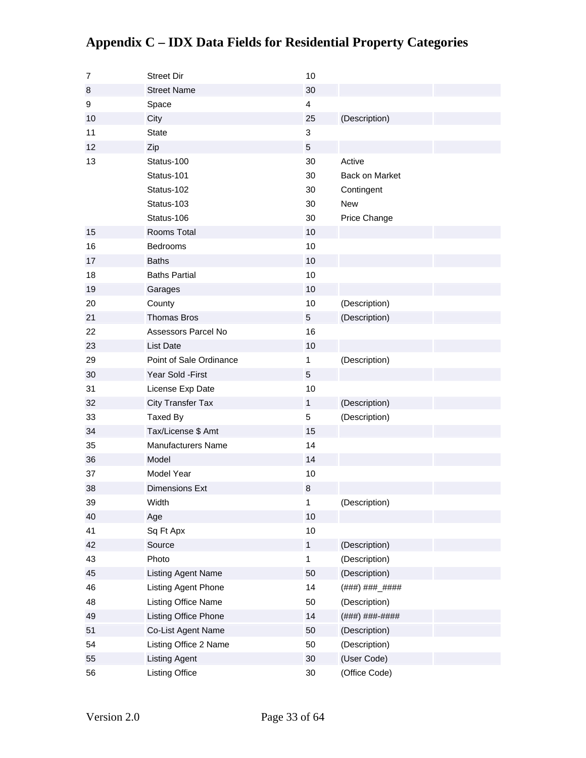#### 7 Street Dir 10 8 Street Name 30 9 Space 4 10 City City 25 (Description) 11 State 3  $12$  Zip 5 13 Status-100 30 Active Status-101 30 Back on Market Status-102 30 Contingent Status-103 30 New Status-106 30 Price Change 15 Rooms Total 10 16 Bedrooms 10 17 Baths 10 18 **Baths Partial** 10 19 Garages 10 20 County **County 10** (Description) 21 Thomas Bros 5 (Description) 22 Assessors Parcel No 16 23 List Date **10** 29 **Point of Sale Ordinance** 1 (Description) 30 Year Sold -First 5 31 License Exp Date 10 32 City Transfer Tax 1 (Description) 33 Taxed By 5 (Description) 34 Tax/License \$ Amt 15 35 Manufacturers Name 14 36 Model 14 37 Model Year 10 38 Dimensions Ext 8 39 Width 1 (Description) 40 Age 10 41 Sq Ft Apx 10 42 Source **1** (Description) 43 Photo 1 (Description) 45 Listing Agent Name 50 (Description) 46 Listing Agent Phone 14 (###) ###\_##### 48 Listing Office Name 50 (Description) 49 Listing Office Phone 14 (###) ###-#### 51 Co-List Agent Name 50 (Description) 54 Listing Office 2 Name 50 (Description) 55 Listing Agent 30 (User Code) 56 Listing Office 30 (Office Code)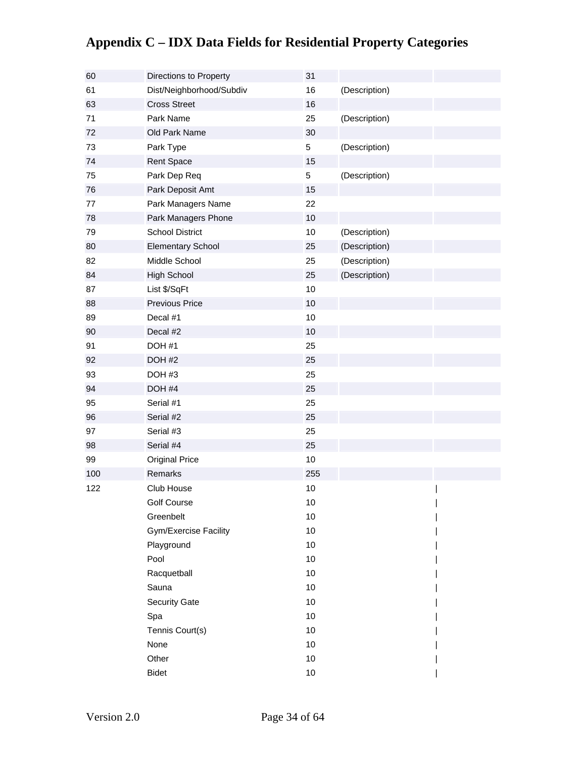| 60  | Directions to Property       | 31   |               |  |
|-----|------------------------------|------|---------------|--|
| 61  | Dist/Neighborhood/Subdiv     | 16   | (Description) |  |
| 63  | <b>Cross Street</b>          | 16   |               |  |
| 71  | Park Name                    | 25   | (Description) |  |
| 72  | Old Park Name                | 30   |               |  |
| 73  | Park Type                    | 5    | (Description) |  |
| 74  | <b>Rent Space</b>            | 15   |               |  |
| 75  | Park Dep Req                 | 5    | (Description) |  |
| 76  | Park Deposit Amt             | 15   |               |  |
| 77  | Park Managers Name           | 22   |               |  |
| 78  | Park Managers Phone          | 10   |               |  |
| 79  | <b>School District</b>       | 10   | (Description) |  |
| 80  | <b>Elementary School</b>     | 25   | (Description) |  |
| 82  | Middle School                | 25   | (Description) |  |
| 84  | <b>High School</b>           | 25   | (Description) |  |
| 87  | List \$/SqFt                 | 10   |               |  |
| 88  | Previous Price               | 10   |               |  |
| 89  | Decal #1                     | 10   |               |  |
| 90  | Decal #2                     | 10   |               |  |
| 91  | DOH #1                       | 25   |               |  |
| 92  | DOH #2                       | 25   |               |  |
| 93  | DOH#3                        | 25   |               |  |
| 94  | DOH #4                       | 25   |               |  |
| 95  | Serial #1                    | 25   |               |  |
| 96  | Serial #2                    | 25   |               |  |
| 97  | Serial #3                    | 25   |               |  |
| 98  | Serial #4                    | 25   |               |  |
| 99  | <b>Original Price</b>        | 10   |               |  |
| 100 | Remarks                      | 255  |               |  |
| 122 | Club House                   | $10$ |               |  |
|     | <b>Golf Course</b>           | 10   |               |  |
|     | Greenbelt                    | 10   |               |  |
|     | <b>Gym/Exercise Facility</b> | 10   |               |  |
|     | Playground                   | 10   |               |  |
|     | Pool                         | 10   |               |  |
|     | Racquetball                  | 10   |               |  |
|     | Sauna                        | 10   |               |  |
|     | <b>Security Gate</b>         | 10   |               |  |
|     | Spa                          | 10   |               |  |
|     | Tennis Court(s)              | 10   |               |  |
|     | None                         | 10   |               |  |
|     | Other                        | 10   |               |  |
|     | <b>Bidet</b>                 | 10   |               |  |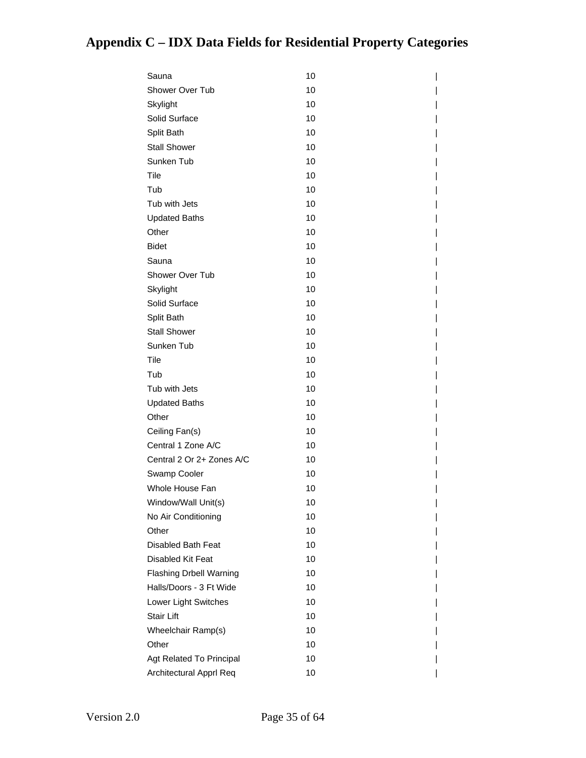| Sauna                          | 10 |
|--------------------------------|----|
| Shower Over Tub                | 10 |
| Skylight                       | 10 |
| Solid Surface                  | 10 |
| Split Bath                     | 10 |
| <b>Stall Shower</b>            | 10 |
| Sunken Tub                     | 10 |
| Tile                           | 10 |
| Tub                            | 10 |
| Tub with Jets                  | 10 |
| <b>Updated Baths</b>           | 10 |
| Other                          | 10 |
| <b>Bidet</b>                   | 10 |
| Sauna                          | 10 |
| Shower Over Tub                | 10 |
| Skylight                       | 10 |
| Solid Surface                  | 10 |
| Split Bath                     | 10 |
| <b>Stall Shower</b>            | 10 |
| Sunken Tub                     | 10 |
| Tile                           | 10 |
| Tub                            | 10 |
| Tub with Jets                  | 10 |
| <b>Updated Baths</b>           | 10 |
| Other                          | 10 |
| Ceiling Fan(s)                 | 10 |
| Central 1 Zone A/C             | 10 |
| Central 2 Or 2+ Zones A/C      | 10 |
| Swamp Cooler                   | 10 |
| Whole House Fan                | 10 |
| Window/Wall Unit(s)            | 10 |
| No Air Conditioning            | 10 |
| Other                          | 10 |
| Disabled Bath Feat             | 10 |
| Disabled Kit Feat              | 10 |
| <b>Flashing Drbell Warning</b> | 10 |
| Halls/Doors - 3 Ft Wide        | 10 |
| Lower Light Switches           | 10 |
| <b>Stair Lift</b>              | 10 |
| Wheelchair Ramp(s)             | 10 |
| Other                          | 10 |
| Agt Related To Principal       | 10 |
| Architectural Apprl Req        | 10 |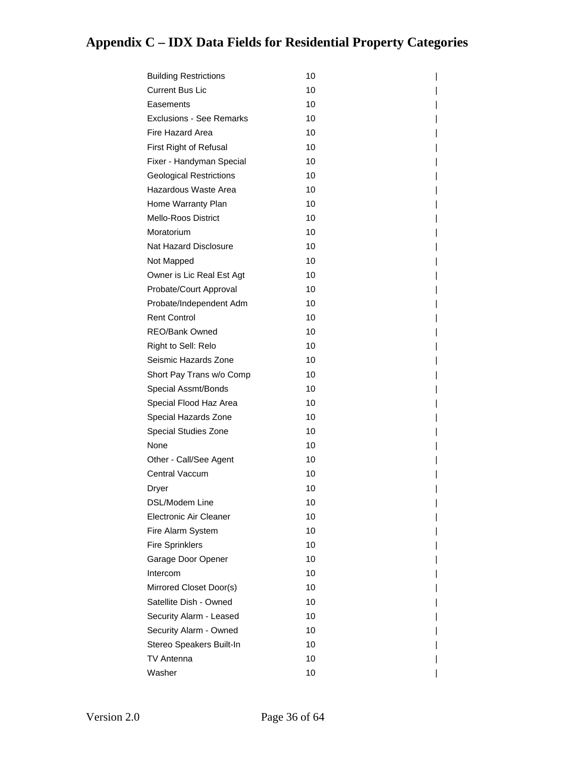| <b>Building Restrictions</b>    | 10 |
|---------------------------------|----|
| <b>Current Bus Lic</b>          | 10 |
| Easements                       | 10 |
| <b>Exclusions - See Remarks</b> | 10 |
| Fire Hazard Area                | 10 |
| First Right of Refusal          | 10 |
| Fixer - Handyman Special        | 10 |
| <b>Geological Restrictions</b>  | 10 |
| Hazardous Waste Area            | 10 |
| Home Warranty Plan              | 10 |
| <b>Mello-Roos District</b>      | 10 |
| Moratorium                      | 10 |
| Nat Hazard Disclosure           | 10 |
| Not Mapped                      | 10 |
| Owner is Lic Real Est Agt       | 10 |
| Probate/Court Approval          | 10 |
| Probate/Independent Adm         | 10 |
| <b>Rent Control</b>             | 10 |
| REO/Bank Owned                  | 10 |
| Right to Sell: Relo             | 10 |
| Seismic Hazards Zone            | 10 |
| Short Pay Trans w/o Comp        | 10 |
| Special Assmt/Bonds             | 10 |
| Special Flood Haz Area          | 10 |
| Special Hazards Zone            | 10 |
| Special Studies Zone            | 10 |
| None                            | 10 |
| Other - Call/See Agent          | 10 |
| Central Vaccum                  | 10 |
| Dryer                           | 10 |
| DSL/Modem Line                  | 10 |
| Electronic Air Cleaner          | 10 |
| Fire Alarm System               | 10 |
| <b>Fire Sprinklers</b>          | 10 |
| Garage Door Opener              | 10 |
| Intercom                        | 10 |
| Mirrored Closet Door(s)         | 10 |
| Satellite Dish - Owned          | 10 |
| Security Alarm - Leased         | 10 |
| Security Alarm - Owned          | 10 |
| Stereo Speakers Built-In        | 10 |
| TV Antenna                      | 10 |
| Washer                          | 10 |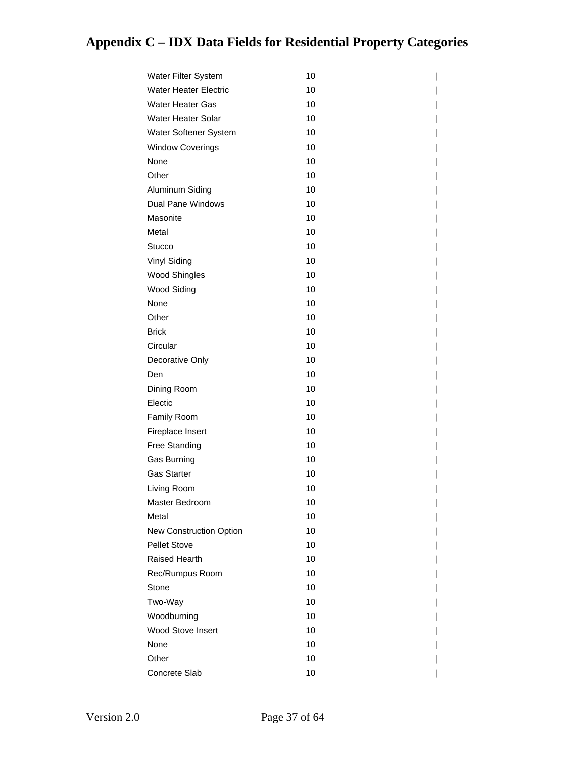| Water Filter System          | 10 |
|------------------------------|----|
| <b>Water Heater Electric</b> | 10 |
| <b>Water Heater Gas</b>      | 10 |
| Water Heater Solar           | 10 |
| Water Softener System        | 10 |
| <b>Window Coverings</b>      | 10 |
| None                         | 10 |
| Other                        | 10 |
| Aluminum Siding              | 10 |
| <b>Dual Pane Windows</b>     | 10 |
| Masonite                     | 10 |
| Metal                        | 10 |
| Stucco                       | 10 |
| Vinyl Siding                 | 10 |
| <b>Wood Shingles</b>         | 10 |
| <b>Wood Siding</b>           | 10 |
| None                         | 10 |
| Other                        | 10 |
| <b>Brick</b>                 | 10 |
| Circular                     | 10 |
| Decorative Only              | 10 |
| Den                          | 10 |
| Dining Room                  | 10 |
| Electic                      | 10 |
| Family Room                  | 10 |
| Fireplace Insert             | 10 |
| <b>Free Standing</b>         | 10 |
| Gas Burning                  | 10 |
| <b>Gas Starter</b>           | 10 |
| Living Room                  | 10 |
| Master Bedroom               | 10 |
| Metal                        | 10 |
| New Construction Option      | 10 |
| Pellet Stove                 | 10 |
| Raised Hearth                | 10 |
| Rec/Rumpus Room              | 10 |
| Stone                        | 10 |
| Two-Way                      | 10 |
| Woodburning                  | 10 |
| <b>Wood Stove Insert</b>     | 10 |
| None                         | 10 |
| Other                        | 10 |
| Concrete Slab                | 10 |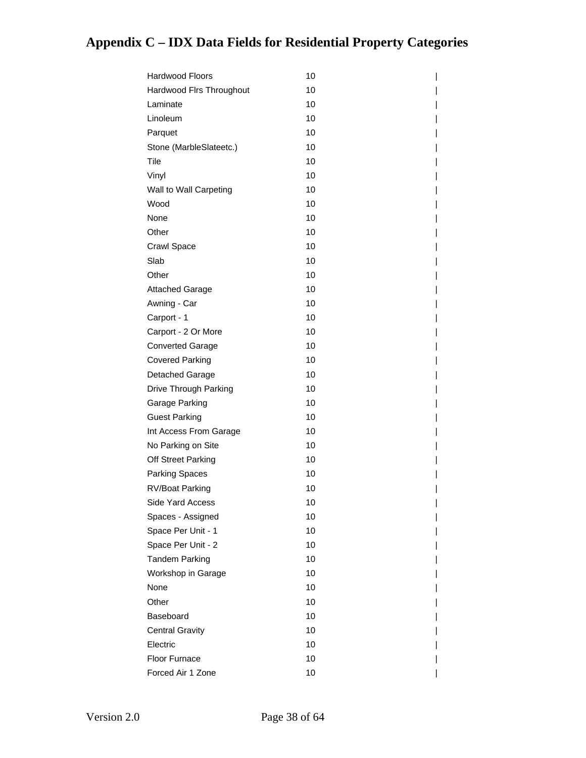| Hardwood Floors          | 10 |
|--------------------------|----|
| Hardwood Flrs Throughout | 10 |
| Laminate                 | 10 |
| Linoleum                 | 10 |
| Parquet                  | 10 |
| Stone (MarbleSlateetc.)  | 10 |
| Tile                     | 10 |
| Vinyl                    | 10 |
| Wall to Wall Carpeting   | 10 |
| Wood                     | 10 |
| None                     | 10 |
| Other                    | 10 |
| Crawl Space              | 10 |
| Slab                     | 10 |
| Other                    | 10 |
| <b>Attached Garage</b>   | 10 |
| Awning - Car             | 10 |
| Carport - 1              | 10 |
| Carport - 2 Or More      | 10 |
| <b>Converted Garage</b>  | 10 |
| <b>Covered Parking</b>   | 10 |
| Detached Garage          | 10 |
| Drive Through Parking    | 10 |
| Garage Parking           | 10 |
| <b>Guest Parking</b>     | 10 |
| Int Access From Garage   | 10 |
| No Parking on Site       | 10 |
| Off Street Parking       | 10 |
| <b>Parking Spaces</b>    | 10 |
| RV/Boat Parking          | 10 |
| Side Yard Access         | 10 |
| Spaces - Assigned        | 10 |
| Space Per Unit - 1       | 10 |
| Space Per Unit - 2       | 10 |
| <b>Tandem Parking</b>    | 10 |
| Workshop in Garage       | 10 |
| None                     | 10 |
| Other                    | 10 |
| Baseboard                | 10 |
| <b>Central Gravity</b>   | 10 |
| Electric                 | 10 |
| Floor Furnace            | 10 |
| Forced Air 1 Zone        | 10 |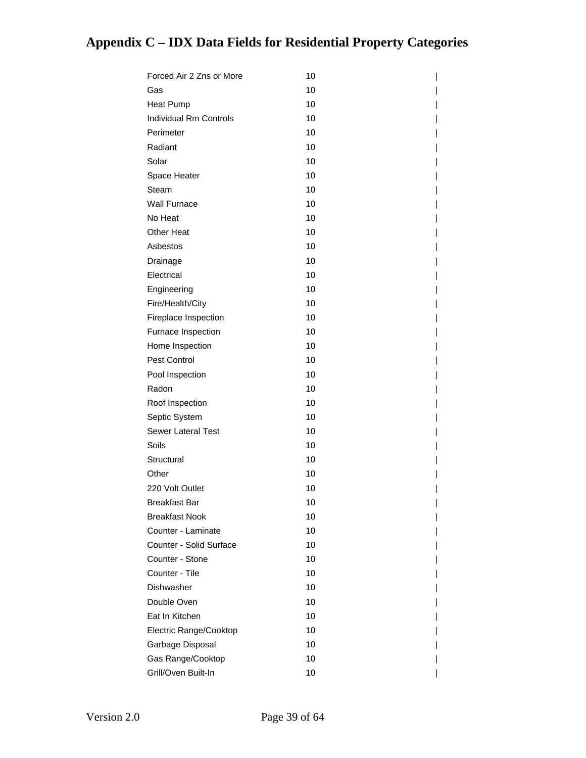| Forced Air 2 Zns or More      | 10 |  |
|-------------------------------|----|--|
| Gas                           | 10 |  |
| <b>Heat Pump</b>              | 10 |  |
| <b>Individual Rm Controls</b> | 10 |  |
| Perimeter                     | 10 |  |
| Radiant                       | 10 |  |
| Solar                         | 10 |  |
| Space Heater                  | 10 |  |
| Steam                         | 10 |  |
| <b>Wall Furnace</b>           | 10 |  |
| No Heat                       | 10 |  |
| <b>Other Heat</b>             | 10 |  |
| Asbestos                      | 10 |  |
| Drainage                      | 10 |  |
| Electrical                    | 10 |  |
| Engineering                   | 10 |  |
| Fire/Health/City              | 10 |  |
| Fireplace Inspection          | 10 |  |
| Furnace Inspection            | 10 |  |
| Home Inspection               | 10 |  |
| Pest Control                  | 10 |  |
| Pool Inspection               | 10 |  |
| Radon                         | 10 |  |
| Roof Inspection               | 10 |  |
| Septic System                 | 10 |  |
| <b>Sewer Lateral Test</b>     | 10 |  |
| Soils                         | 10 |  |
| Structural                    | 10 |  |
| Other                         | 10 |  |
| 220 Volt Outlet               | 10 |  |
| <b>Breakfast Bar</b>          | 10 |  |
| <b>Breakfast Nook</b>         | 10 |  |
| Counter - Laminate            | 10 |  |
| Counter - Solid Surface       | 10 |  |
| Counter - Stone               | 10 |  |
| Counter - Tile                | 10 |  |
| Dishwasher                    | 10 |  |
| Double Oven                   | 10 |  |
| Eat In Kitchen                | 10 |  |
| Electric Range/Cooktop        | 10 |  |
| Garbage Disposal              | 10 |  |
| Gas Range/Cooktop             | 10 |  |
| Grill/Oven Built-In           | 10 |  |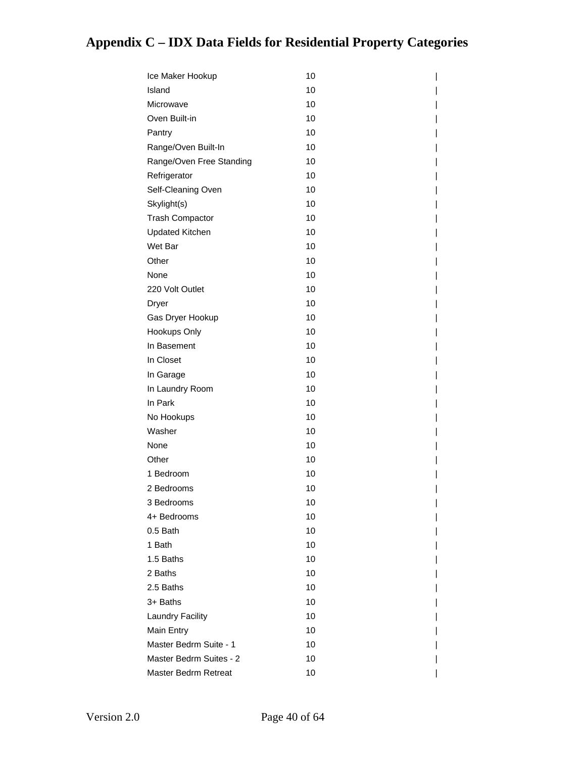| Ice Maker Hookup         | 10 |
|--------------------------|----|
| Island                   | 10 |
| Microwave                | 10 |
| Oven Built-in            | 10 |
| Pantry                   | 10 |
| Range/Oven Built-In      | 10 |
| Range/Oven Free Standing | 10 |
| Refrigerator             | 10 |
| Self-Cleaning Oven       | 10 |
| Skylight(s)              | 10 |
| <b>Trash Compactor</b>   | 10 |
| <b>Updated Kitchen</b>   | 10 |
| Wet Bar                  | 10 |
| Other                    | 10 |
| None                     | 10 |
| 220 Volt Outlet          | 10 |
| Dryer                    | 10 |
| Gas Dryer Hookup         | 10 |
| Hookups Only             | 10 |
| In Basement              | 10 |
| In Closet                | 10 |
| In Garage                | 10 |
| In Laundry Room          | 10 |
| In Park                  | 10 |
| No Hookups               | 10 |
| Washer                   | 10 |
| None                     | 10 |
| Other                    | 10 |
| 1 Bedroom                | 10 |
| 2 Bedrooms               | 10 |
| 3 Bedrooms               | 10 |
| 4+ Bedrooms              | 10 |
| 0.5 Bath                 | 10 |
| 1 Bath                   | 10 |
| 1.5 Baths                | 10 |
| 2 Baths                  | 10 |
| 2.5 Baths                | 10 |
| 3+ Baths                 | 10 |
| <b>Laundry Facility</b>  | 10 |
| Main Entry               | 10 |
| Master Bedrm Suite - 1   | 10 |
| Master Bedrm Suites - 2  | 10 |
| Master Bedrm Retreat     | 10 |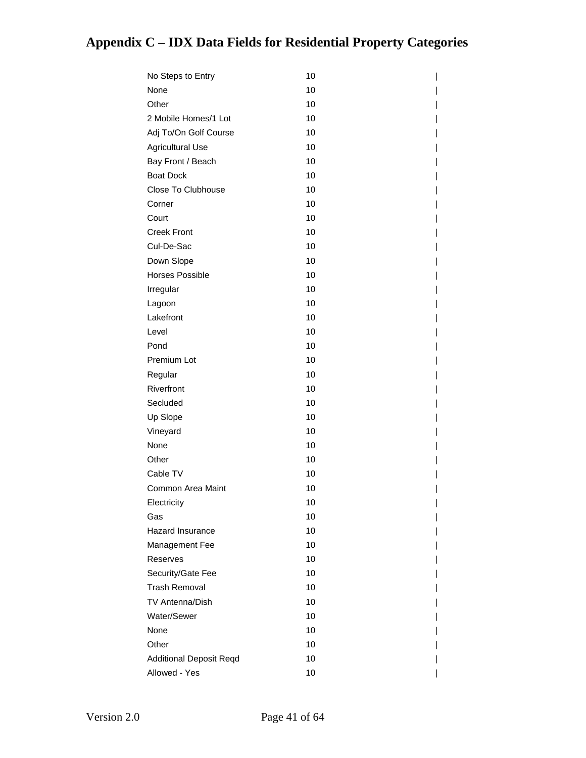| No Steps to Entry              | 10 |
|--------------------------------|----|
| None                           | 10 |
| Other                          | 10 |
| 2 Mobile Homes/1 Lot           | 10 |
| Adj To/On Golf Course          | 10 |
| <b>Agricultural Use</b>        | 10 |
| Bay Front / Beach              | 10 |
| <b>Boat Dock</b>               | 10 |
| Close To Clubhouse             | 10 |
| Corner                         | 10 |
| Court                          | 10 |
| <b>Creek Front</b>             | 10 |
| Cul-De-Sac                     | 10 |
| Down Slope                     | 10 |
| <b>Horses Possible</b>         | 10 |
| Irregular                      | 10 |
| Lagoon                         | 10 |
| Lakefront                      | 10 |
| Level                          | 10 |
| Pond                           | 10 |
| Premium Lot                    | 10 |
| Regular                        | 10 |
| Riverfront                     | 10 |
| Secluded                       | 10 |
| Up Slope                       | 10 |
| Vineyard                       | 10 |
| None                           | 10 |
| Other                          | 10 |
| Cable TV                       | 10 |
| Common Area Maint              | 10 |
| Electricity                    | 10 |
| Gas                            | 10 |
| Hazard Insurance               | 10 |
| Management Fee                 | 10 |
| Reserves                       | 10 |
| Security/Gate Fee              | 10 |
| <b>Trash Removal</b>           | 10 |
| <b>TV Antenna/Dish</b>         | 10 |
| Water/Sewer                    | 10 |
| None                           | 10 |
| Other                          | 10 |
| <b>Additional Deposit Reqd</b> | 10 |
| Allowed - Yes                  | 10 |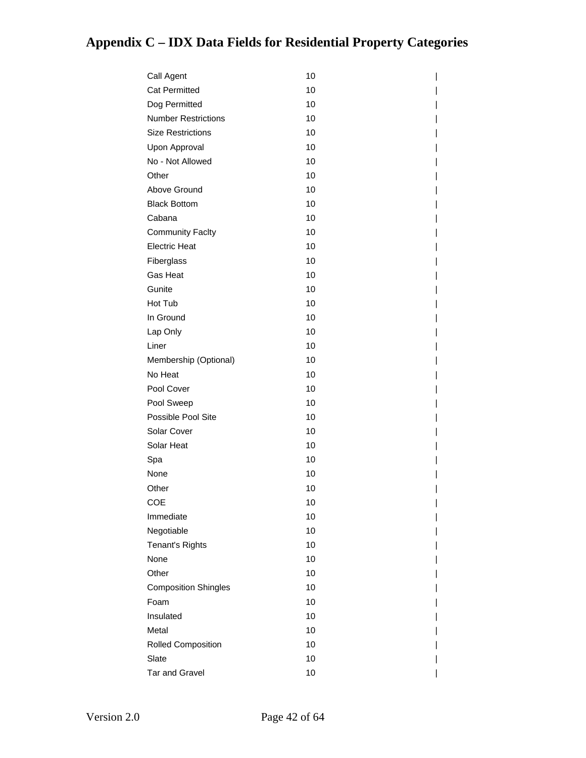| Call Agent                  | 10 |
|-----------------------------|----|
| <b>Cat Permitted</b>        | 10 |
| Dog Permitted               | 10 |
| <b>Number Restrictions</b>  | 10 |
| <b>Size Restrictions</b>    | 10 |
| Upon Approval               | 10 |
| No - Not Allowed            | 10 |
| Other                       | 10 |
| Above Ground                | 10 |
| <b>Black Bottom</b>         | 10 |
| Cabana                      | 10 |
| <b>Community Faclty</b>     | 10 |
| <b>Electric Heat</b>        | 10 |
| Fiberglass                  | 10 |
| <b>Gas Heat</b>             | 10 |
| Gunite                      | 10 |
| Hot Tub                     | 10 |
| In Ground                   | 10 |
| Lap Only                    | 10 |
| Liner                       | 10 |
| Membership (Optional)       | 10 |
| No Heat                     | 10 |
| Pool Cover                  | 10 |
| Pool Sweep                  | 10 |
| Possible Pool Site          | 10 |
| Solar Cover                 | 10 |
| Solar Heat                  | 10 |
| Spa                         | 10 |
| None                        | 10 |
| Other                       | 10 |
| COE                         | 10 |
| Immediate                   | 10 |
| Negotiable                  | 10 |
| Tenant's Rights             | 10 |
| None                        | 10 |
| Other                       | 10 |
| <b>Composition Shingles</b> | 10 |
| Foam                        | 10 |
| Insulated                   | 10 |
| Metal                       | 10 |
| <b>Rolled Composition</b>   | 10 |
| Slate                       | 10 |
| <b>Tar and Gravel</b>       | 10 |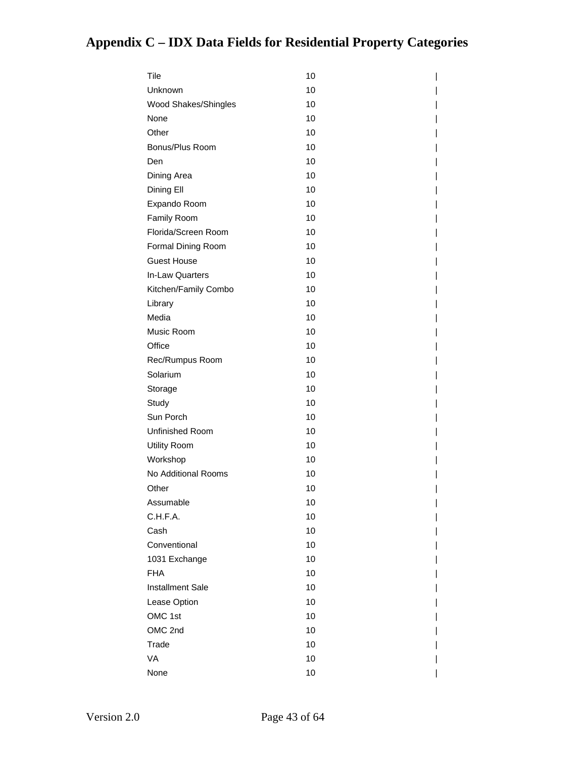| Tile                    | 10 |
|-------------------------|----|
| Unknown                 | 10 |
| Wood Shakes/Shingles    | 10 |
| None                    | 10 |
| Other                   | 10 |
| Bonus/Plus Room         | 10 |
| Den                     | 10 |
| Dining Area             | 10 |
| Dining Ell              | 10 |
| Expando Room            | 10 |
| Family Room             | 10 |
| Florida/Screen Room     | 10 |
| Formal Dining Room      | 10 |
| <b>Guest House</b>      | 10 |
| In-Law Quarters         | 10 |
| Kitchen/Family Combo    | 10 |
| Library                 | 10 |
| Media                   | 10 |
| Music Room              | 10 |
| Office                  | 10 |
| Rec/Rumpus Room         | 10 |
| Solarium                | 10 |
| Storage                 | 10 |
| Study                   | 10 |
| Sun Porch               | 10 |
| Unfinished Room         | 10 |
| Utility Room            | 10 |
| Workshop                | 10 |
| No Additional Rooms     | 10 |
| Other                   | 10 |
| Assumable               | 10 |
| C.H.F.A.                | 10 |
| Cash                    | 10 |
| Conventional            | 10 |
| 1031 Exchange           | 10 |
| <b>FHA</b>              | 10 |
| <b>Installment Sale</b> | 10 |
| Lease Option            | 10 |
| OMC 1st                 | 10 |
| OMC 2nd                 | 10 |
| Trade                   | 10 |
| VA                      | 10 |
| None                    | 10 |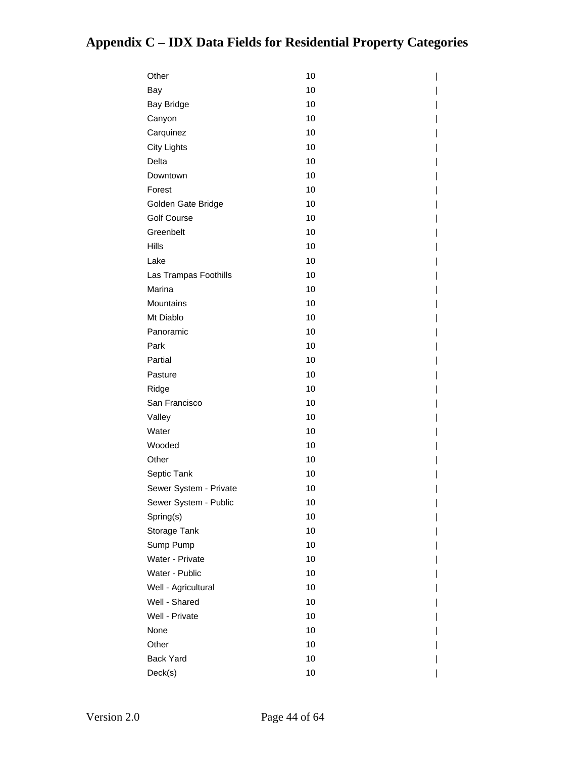| Other                  | 10 |
|------------------------|----|
| Bay                    | 10 |
| <b>Bay Bridge</b>      | 10 |
| Canyon                 | 10 |
| Carquinez              | 10 |
| <b>City Lights</b>     | 10 |
| Delta                  | 10 |
| Downtown               | 10 |
| Forest                 | 10 |
| Golden Gate Bridge     | 10 |
| <b>Golf Course</b>     | 10 |
| Greenbelt              | 10 |
| Hills                  | 10 |
| Lake                   | 10 |
| Las Trampas Foothills  | 10 |
| Marina                 | 10 |
| Mountains              | 10 |
| Mt Diablo              | 10 |
| Panoramic              | 10 |
| Park                   | 10 |
| Partial                | 10 |
| Pasture                | 10 |
| Ridge                  | 10 |
| San Francisco          | 10 |
| Valley                 | 10 |
| Water                  | 10 |
| Wooded                 | 10 |
| Other                  | 10 |
| Septic Tank            | 10 |
| Sewer System - Private | 10 |
| Sewer System - Public  | 10 |
| Spring(s)              | 10 |
| Storage Tank           | 10 |
| Sump Pump              | 10 |
| Water - Private        | 10 |
| Water - Public         | 10 |
| Well - Agricultural    | 10 |
| Well - Shared          | 10 |
| Well - Private         | 10 |
| None                   | 10 |
| Other                  | 10 |
| Back Yard              | 10 |
| Deck(s)                | 10 |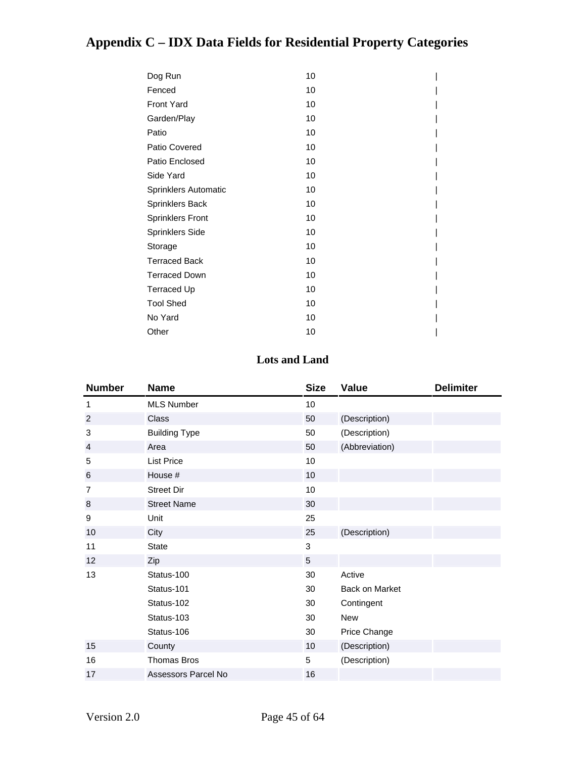| Dog Run                     | 10 |  |
|-----------------------------|----|--|
| Fenced                      | 10 |  |
| <b>Front Yard</b>           | 10 |  |
| Garden/Play                 | 10 |  |
| Patio                       | 10 |  |
| Patio Covered               | 10 |  |
| Patio Enclosed              | 10 |  |
| Side Yard                   | 10 |  |
| <b>Sprinklers Automatic</b> | 10 |  |
| <b>Sprinklers Back</b>      | 10 |  |
| <b>Sprinklers Front</b>     | 10 |  |
| <b>Sprinklers Side</b>      | 10 |  |
| Storage                     | 10 |  |
| <b>Terraced Back</b>        | 10 |  |
| <b>Terraced Down</b>        | 10 |  |
| <b>Terraced Up</b>          | 10 |  |
| <b>Tool Shed</b>            | 10 |  |
| No Yard                     | 10 |  |
| Other                       | 10 |  |

#### **Lots and Land**

| <b>Number</b>  | <b>Name</b>          | <b>Size</b> | <b>Value</b>          | <b>Delimiter</b> |
|----------------|----------------------|-------------|-----------------------|------------------|
| 1              | <b>MLS Number</b>    | 10          |                       |                  |
| 2              | Class                | 50          | (Description)         |                  |
| 3              | <b>Building Type</b> | 50          | (Description)         |                  |
| $\overline{4}$ | Area                 | 50          | (Abbreviation)        |                  |
| 5              | <b>List Price</b>    | 10          |                       |                  |
| 6              | House #              | 10          |                       |                  |
| $\overline{7}$ | <b>Street Dir</b>    | 10          |                       |                  |
| 8              | <b>Street Name</b>   | 30          |                       |                  |
| 9              | Unit                 | 25          |                       |                  |
| 10             | City                 | 25          | (Description)         |                  |
| 11             | <b>State</b>         | 3           |                       |                  |
| 12             | Zip                  | 5           |                       |                  |
| 13             | Status-100           | 30          | Active                |                  |
|                | Status-101           | 30          | <b>Back on Market</b> |                  |
|                | Status-102           | 30          | Contingent            |                  |
|                | Status-103           | 30          | New                   |                  |
|                | Status-106           | 30          | Price Change          |                  |
| 15             | County               | 10          | (Description)         |                  |
| 16             | <b>Thomas Bros</b>   | 5           | (Description)         |                  |
| 17             | Assessors Parcel No  | 16          |                       |                  |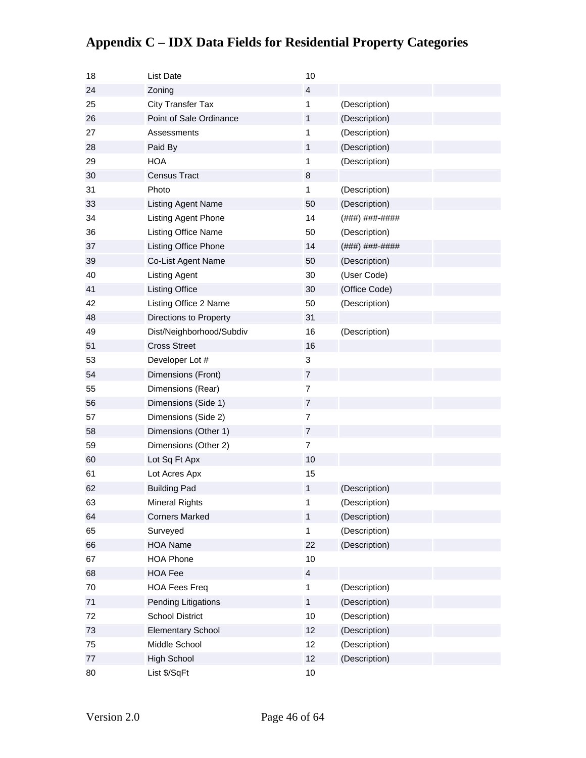| 18 | List Date                 | 10             |                |
|----|---------------------------|----------------|----------------|
| 24 | Zoning                    | $\overline{4}$ |                |
| 25 | <b>City Transfer Tax</b>  | 1              | (Description)  |
| 26 | Point of Sale Ordinance   | 1              | (Description)  |
| 27 | Assessments               | 1              | (Description)  |
| 28 | Paid By                   | $\mathbf{1}$   | (Description)  |
| 29 | <b>HOA</b>                | 1              | (Description)  |
| 30 | <b>Census Tract</b>       | 8              |                |
| 31 | Photo                     | 1              | (Description)  |
| 33 | <b>Listing Agent Name</b> | 50             | (Description)  |
| 34 | Listing Agent Phone       | 14             | (###) ###-#### |
| 36 | Listing Office Name       | 50             | (Description)  |
| 37 | Listing Office Phone      | 14             | (###) ###-#### |
| 39 | Co-List Agent Name        | 50             | (Description)  |
| 40 | <b>Listing Agent</b>      | 30             | (User Code)    |
| 41 | <b>Listing Office</b>     | 30             | (Office Code)  |
| 42 | Listing Office 2 Name     | 50             | (Description)  |
| 48 | Directions to Property    | 31             |                |
| 49 | Dist/Neighborhood/Subdiv  | 16             | (Description)  |
| 51 | <b>Cross Street</b>       | 16             |                |
| 53 | Developer Lot #           | 3              |                |
| 54 | Dimensions (Front)        | $\overline{7}$ |                |
| 55 | Dimensions (Rear)         | $\overline{7}$ |                |
| 56 | Dimensions (Side 1)       | $\overline{7}$ |                |
| 57 | Dimensions (Side 2)       | $\overline{7}$ |                |
| 58 | Dimensions (Other 1)      | $\overline{7}$ |                |
| 59 | Dimensions (Other 2)      | $\overline{7}$ |                |
| 60 | Lot Sq Ft Apx             | 10             |                |
| 61 | Lot Acres Apx             | 15             |                |
| 62 | <b>Building Pad</b>       | 1              | (Description)  |
| 63 | <b>Mineral Rights</b>     | 1              | (Description)  |
| 64 | <b>Corners Marked</b>     | 1              | (Description)  |
| 65 | Surveyed                  | 1              | (Description)  |
| 66 | <b>HOA Name</b>           | 22             | (Description)  |
| 67 | <b>HOA Phone</b>          | 10             |                |
| 68 | <b>HOA Fee</b>            | $\overline{4}$ |                |
| 70 | <b>HOA Fees Freq</b>      | 1              | (Description)  |
| 71 | Pending Litigations       | $\mathbf{1}$   | (Description)  |
| 72 | <b>School District</b>    | 10             | (Description)  |
| 73 | <b>Elementary School</b>  | 12             | (Description)  |
| 75 | Middle School             | 12             | (Description)  |
| 77 | High School               | 12             | (Description)  |
| 80 | List \$/SqFt              | 10             |                |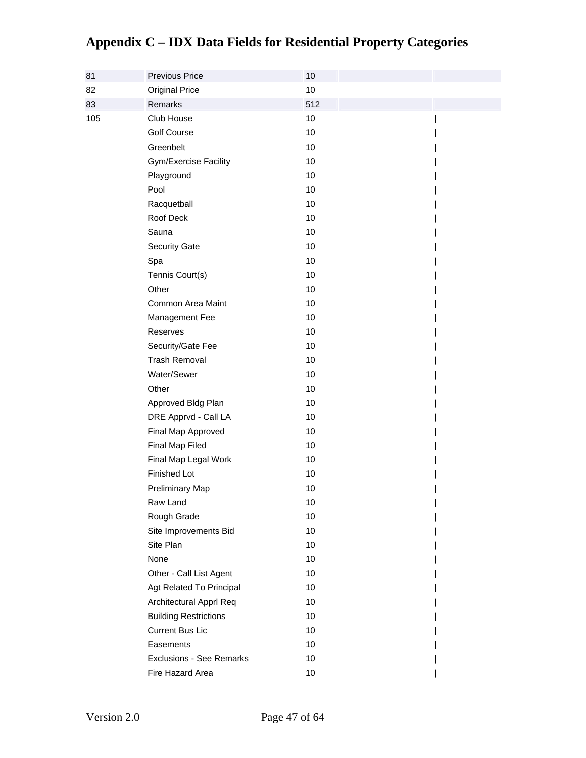| 81  | Previous Price                  | 10  |  |
|-----|---------------------------------|-----|--|
| 82  | <b>Original Price</b>           | 10  |  |
| 83  | Remarks                         | 512 |  |
| 105 | Club House                      | 10  |  |
|     | <b>Golf Course</b>              | 10  |  |
|     | Greenbelt                       | 10  |  |
|     | Gym/Exercise Facility           | 10  |  |
|     | Playground                      | 10  |  |
|     | Pool                            | 10  |  |
|     | Racquetball                     | 10  |  |
|     | Roof Deck                       | 10  |  |
|     | Sauna                           | 10  |  |
|     | <b>Security Gate</b>            | 10  |  |
|     | Spa                             | 10  |  |
|     | Tennis Court(s)                 | 10  |  |
|     | Other                           | 10  |  |
|     | Common Area Maint               | 10  |  |
|     | Management Fee                  | 10  |  |
|     | Reserves                        | 10  |  |
|     | Security/Gate Fee               | 10  |  |
|     | <b>Trash Removal</b>            | 10  |  |
|     | Water/Sewer                     | 10  |  |
|     | Other                           | 10  |  |
|     | Approved Bldg Plan              | 10  |  |
|     | DRE Apprvd - Call LA            | 10  |  |
|     | Final Map Approved              | 10  |  |
|     | Final Map Filed                 | 10  |  |
|     | Final Map Legal Work            | 10  |  |
|     | Finished Lot                    | 10  |  |
|     | Preliminary Map                 | 10  |  |
|     | Raw Land                        | 10  |  |
|     | Rough Grade                     | 10  |  |
|     | Site Improvements Bid           | 10  |  |
|     | Site Plan                       | 10  |  |
|     | None                            | 10  |  |
|     | Other - Call List Agent         | 10  |  |
|     | Agt Related To Principal        | 10  |  |
|     | Architectural Apprl Req         | 10  |  |
|     | <b>Building Restrictions</b>    | 10  |  |
|     | <b>Current Bus Lic</b>          | 10  |  |
|     | Easements                       | 10  |  |
|     | <b>Exclusions - See Remarks</b> | 10  |  |
|     | Fire Hazard Area                | 10  |  |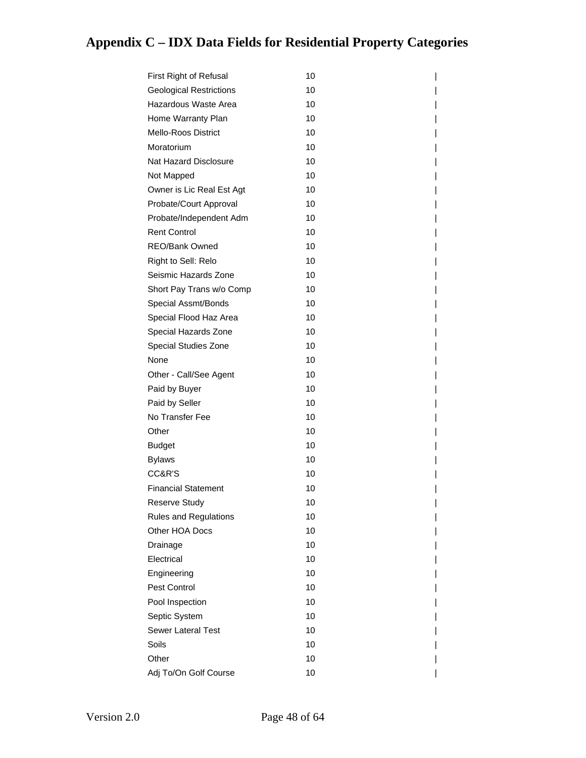| First Right of Refusal         | 10 |  |
|--------------------------------|----|--|
| <b>Geological Restrictions</b> | 10 |  |
| Hazardous Waste Area           | 10 |  |
| Home Warranty Plan             | 10 |  |
| Mello-Roos District            | 10 |  |
| Moratorium                     | 10 |  |
| Nat Hazard Disclosure          | 10 |  |
| Not Mapped                     | 10 |  |
| Owner is Lic Real Est Agt      | 10 |  |
| Probate/Court Approval         | 10 |  |
| Probate/Independent Adm        | 10 |  |
| <b>Rent Control</b>            | 10 |  |
| REO/Bank Owned                 | 10 |  |
| Right to Sell: Relo            | 10 |  |
| Seismic Hazards Zone           | 10 |  |
| Short Pay Trans w/o Comp       | 10 |  |
| Special Assmt/Bonds            | 10 |  |
| Special Flood Haz Area         | 10 |  |
| Special Hazards Zone           | 10 |  |
| Special Studies Zone           | 10 |  |
| None                           | 10 |  |
| Other - Call/See Agent         | 10 |  |
| Paid by Buyer                  | 10 |  |
| Paid by Seller                 | 10 |  |
| No Transfer Fee                | 10 |  |
| Other                          | 10 |  |
| <b>Budget</b>                  | 10 |  |
| <b>Bylaws</b>                  | 10 |  |
| CC&R'S                         | 10 |  |
| <b>Financial Statement</b>     | 10 |  |
| Reserve Study                  | 10 |  |
| <b>Rules and Regulations</b>   | 10 |  |
| Other HOA Docs                 | 10 |  |
| Drainage                       | 10 |  |
| Electrical                     | 10 |  |
| Engineering                    | 10 |  |
| Pest Control                   | 10 |  |
| Pool Inspection                | 10 |  |
| Septic System                  | 10 |  |
| <b>Sewer Lateral Test</b>      | 10 |  |
| Soils                          | 10 |  |
| Other                          | 10 |  |
| Adj To/On Golf Course          | 10 |  |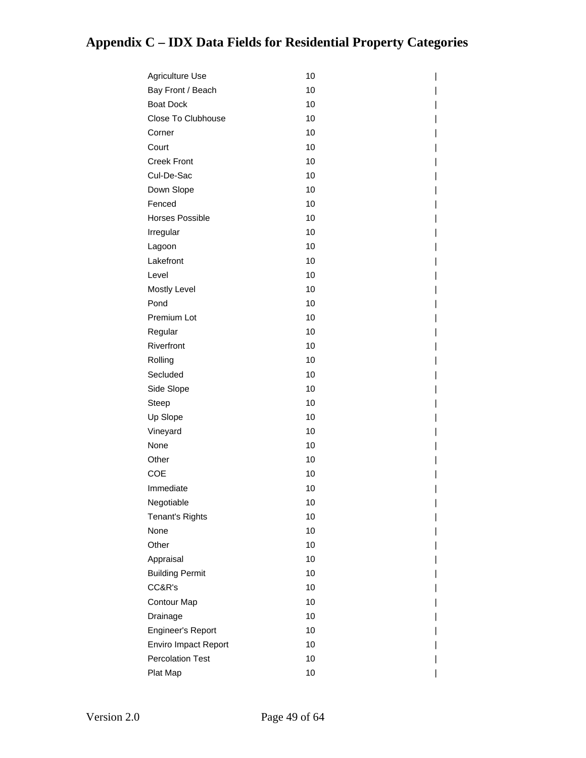| Agriculture Use         | 10 |
|-------------------------|----|
| Bay Front / Beach       | 10 |
| <b>Boat Dock</b>        | 10 |
| Close To Clubhouse      | 10 |
| Corner                  | 10 |
| Court                   | 10 |
| <b>Creek Front</b>      | 10 |
| Cul-De-Sac              | 10 |
| Down Slope              | 10 |
| Fenced                  | 10 |
| <b>Horses Possible</b>  | 10 |
| Irregular               | 10 |
| Lagoon                  | 10 |
| Lakefront               | 10 |
| Level                   | 10 |
| Mostly Level            | 10 |
| Pond                    | 10 |
| Premium Lot             | 10 |
| Regular                 | 10 |
| Riverfront              | 10 |
| Rolling                 | 10 |
| Secluded                | 10 |
| Side Slope              | 10 |
| Steep                   | 10 |
| Up Slope                | 10 |
| Vineyard                | 10 |
| None                    | 10 |
| Other                   | 10 |
| <b>COE</b>              | 10 |
| Immediate               | 10 |
| Negotiable              | 10 |
| <b>Tenant's Rights</b>  | 10 |
| None                    | 10 |
| Other                   | 10 |
| Appraisal               | 10 |
| <b>Building Permit</b>  | 10 |
| CC&R's                  | 10 |
| <b>Contour Map</b>      | 10 |
| Drainage                | 10 |
| Engineer's Report       | 10 |
| Enviro Impact Report    | 10 |
| <b>Percolation Test</b> | 10 |
| Plat Map                | 10 |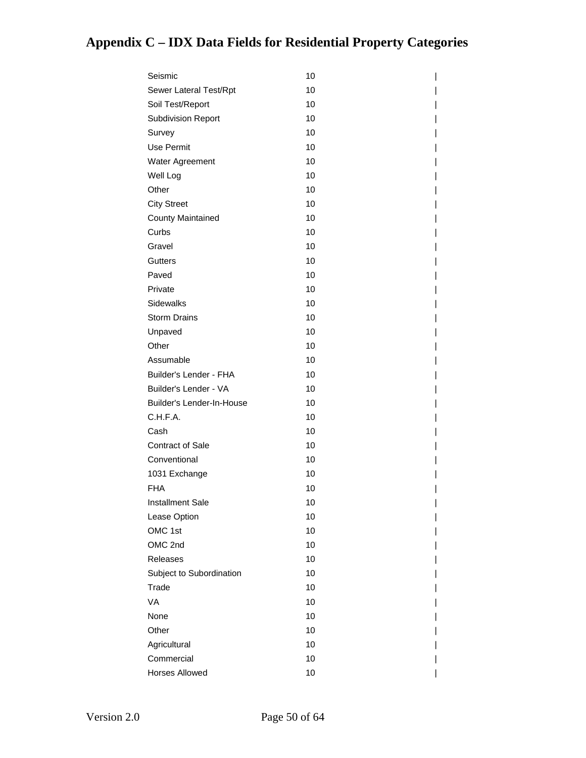| Seismic                   | 10 |
|---------------------------|----|
| Sewer Lateral Test/Rpt    | 10 |
| Soil Test/Report          | 10 |
| <b>Subdivision Report</b> | 10 |
| Survey                    | 10 |
| Use Permit                | 10 |
| Water Agreement           | 10 |
| Well Log                  | 10 |
| Other                     | 10 |
| <b>City Street</b>        | 10 |
| <b>County Maintained</b>  | 10 |
| Curbs                     | 10 |
| Gravel                    | 10 |
| Gutters                   | 10 |
| Paved                     | 10 |
| Private                   | 10 |
| <b>Sidewalks</b>          | 10 |
| <b>Storm Drains</b>       | 10 |
| Unpaved                   | 10 |
| Other                     | 10 |
| Assumable                 | 10 |
| Builder's Lender - FHA    | 10 |
| Builder's Lender - VA     | 10 |
| Builder's Lender-In-House | 10 |
| C.H.F.A.                  | 10 |
| Cash                      | 10 |
| <b>Contract of Sale</b>   | 10 |
| Conventional              | 10 |
| 1031 Exchange             | 10 |
| <b>FHA</b>                | 10 |
| Installment Sale          | 10 |
| Lease Option              | 10 |
| OMC 1st                   | 10 |
| OMC 2nd                   | 10 |
| Releases                  | 10 |
| Subject to Subordination  | 10 |
| Trade                     | 10 |
| VA                        | 10 |
| None                      | 10 |
| Other                     | 10 |
| Agricultural              | 10 |
| Commercial                | 10 |
| Horses Allowed            | 10 |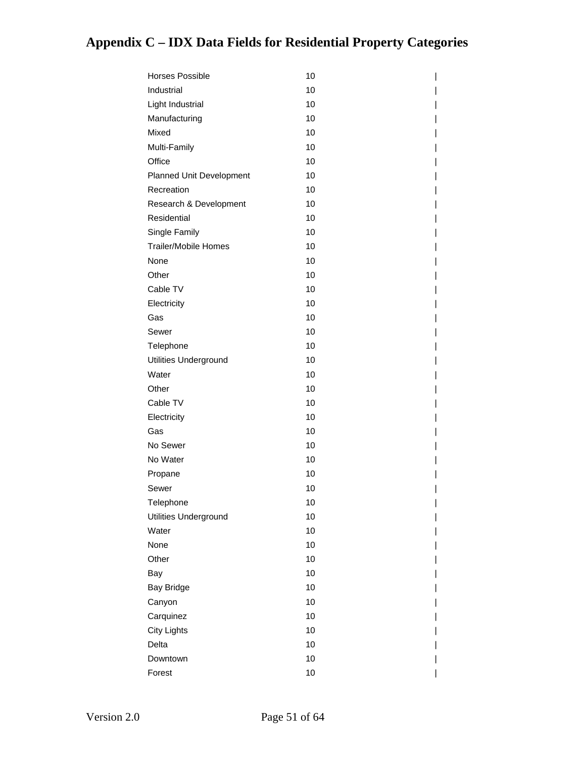| <b>Horses Possible</b>      | 10 |
|-----------------------------|----|
| Industrial                  | 10 |
| Light Industrial            | 10 |
| Manufacturing               | 10 |
| Mixed                       | 10 |
| Multi-Family                | 10 |
| Office                      | 10 |
| Planned Unit Development    | 10 |
| Recreation                  | 10 |
| Research & Development      | 10 |
| Residential                 | 10 |
| Single Family               | 10 |
| <b>Trailer/Mobile Homes</b> | 10 |
| None                        | 10 |
| Other                       | 10 |
| Cable TV                    | 10 |
| Electricity                 | 10 |
| Gas                         | 10 |
| Sewer                       | 10 |
| Telephone                   | 10 |
| Utilities Underground       | 10 |
| Water                       | 10 |
| Other                       | 10 |
| Cable TV                    | 10 |
| Electricity                 | 10 |
| Gas                         | 10 |
| No Sewer                    | 10 |
| No Water                    | 10 |
| Propane                     | 10 |
| Sewer                       | 10 |
| Telephone                   | 10 |
| Utilities Underground       | 10 |
| Water                       | 10 |
| None                        | 10 |
| Other                       | 10 |
| Bay                         | 10 |
| <b>Bay Bridge</b>           | 10 |
| Canyon                      | 10 |
| Carquinez                   | 10 |
| <b>City Lights</b>          | 10 |
| Delta                       | 10 |
| Downtown                    | 10 |
| Forest                      | 10 |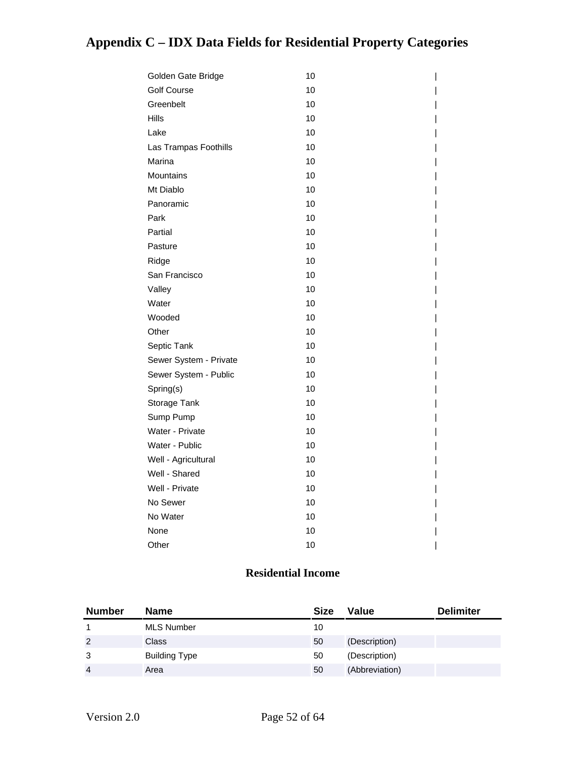| Golden Gate Bridge     | 10 |
|------------------------|----|
| <b>Golf Course</b>     | 10 |
| Greenbelt              | 10 |
| <b>Hills</b>           | 10 |
| Lake                   | 10 |
| Las Trampas Foothills  | 10 |
| Marina                 | 10 |
| Mountains              | 10 |
| Mt Diablo              | 10 |
| Panoramic              | 10 |
| Park                   | 10 |
| Partial                | 10 |
| Pasture                | 10 |
| Ridge                  | 10 |
| San Francisco          | 10 |
| Valley                 | 10 |
| Water                  | 10 |
| Wooded                 | 10 |
| Other                  | 10 |
| Septic Tank            | 10 |
| Sewer System - Private | 10 |
| Sewer System - Public  | 10 |
| Spring(s)              | 10 |
| Storage Tank           | 10 |
| Sump Pump              | 10 |
| Water - Private        | 10 |
| Water - Public         | 10 |
| Well - Agricultural    | 10 |
| Well - Shared          | 10 |
| Well - Private         | 10 |
| No Sewer               | 10 |
| No Water               | 10 |
| None                   | 10 |
| Other                  | 10 |

#### **Residential Income**

| <b>Number</b>  | <b>Name</b>       | <b>Size</b> | Value          | <b>Delimiter</b> |
|----------------|-------------------|-------------|----------------|------------------|
|                | <b>MLS Number</b> | 10          |                |                  |
| 2              | <b>Class</b>      | 50          | (Description)  |                  |
| 3              | Building Type     | 50          | (Description)  |                  |
| $\overline{4}$ | Area              | 50          | (Abbreviation) |                  |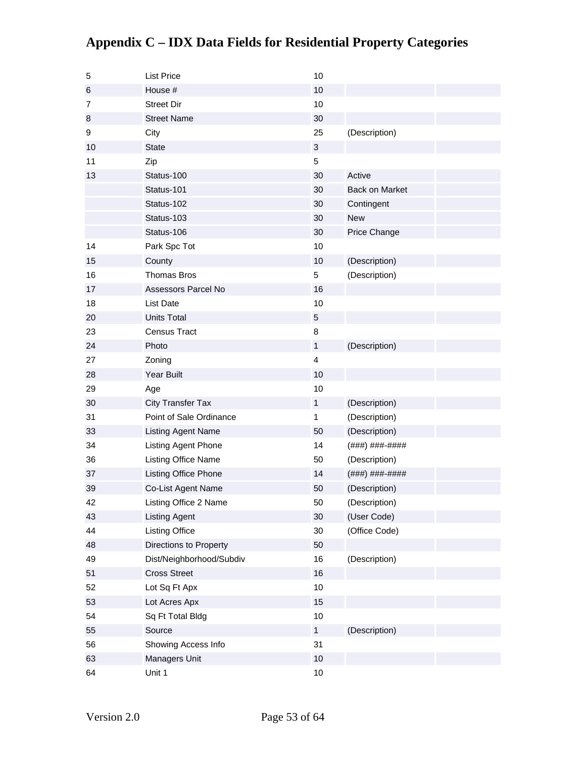| 5  | <b>List Price</b>         | 10           |                       |
|----|---------------------------|--------------|-----------------------|
| 6  | House #                   | 10           |                       |
| 7  | <b>Street Dir</b>         | 10           |                       |
| 8  | <b>Street Name</b>        | 30           |                       |
| 9  | City                      | 25           | (Description)         |
| 10 | <b>State</b>              | 3            |                       |
| 11 | Zip                       | 5            |                       |
| 13 | Status-100                | 30           | Active                |
|    | Status-101                | 30           | <b>Back on Market</b> |
|    | Status-102                | 30           | Contingent            |
|    | Status-103                | 30           | <b>New</b>            |
|    | Status-106                | 30           | Price Change          |
| 14 | Park Spc Tot              | 10           |                       |
| 15 | County                    | 10           | (Description)         |
| 16 | <b>Thomas Bros</b>        | 5            | (Description)         |
| 17 | Assessors Parcel No       | 16           |                       |
| 18 | <b>List Date</b>          | 10           |                       |
| 20 | <b>Units Total</b>        | 5            |                       |
| 23 | <b>Census Tract</b>       | 8            |                       |
| 24 | Photo                     | $\mathbf{1}$ | (Description)         |
| 27 | Zoning                    | 4            |                       |
| 28 | <b>Year Built</b>         | 10           |                       |
| 29 | Age                       | 10           |                       |
| 30 | <b>City Transfer Tax</b>  | $\mathbf{1}$ | (Description)         |
| 31 | Point of Sale Ordinance   | 1            | (Description)         |
| 33 | <b>Listing Agent Name</b> | 50           | (Description)         |
| 34 | Listing Agent Phone       | 14           | (###) ###-####        |
| 36 | Listing Office Name       | 50           | (Description)         |
| 37 | Listing Office Phone      | 14           | (###) ###-####        |
| 39 | Co-List Agent Name        | 50           | (Description)         |
| 42 | Listing Office 2 Name     | 50           | (Description)         |
| 43 | <b>Listing Agent</b>      | 30           | (User Code)           |
| 44 | <b>Listing Office</b>     | 30           | (Office Code)         |
| 48 | Directions to Property    | 50           |                       |
| 49 | Dist/Neighborhood/Subdiv  | 16           | (Description)         |
| 51 | <b>Cross Street</b>       | 16           |                       |
| 52 | Lot Sq Ft Apx             | 10           |                       |
| 53 | Lot Acres Apx             | 15           |                       |
| 54 | Sq Ft Total Bldg          | $10$         |                       |
| 55 | Source                    | $\mathbf{1}$ | (Description)         |
| 56 | Showing Access Info       | 31           |                       |
| 63 | Managers Unit             | $10$         |                       |
| 64 | Unit 1                    | $10$         |                       |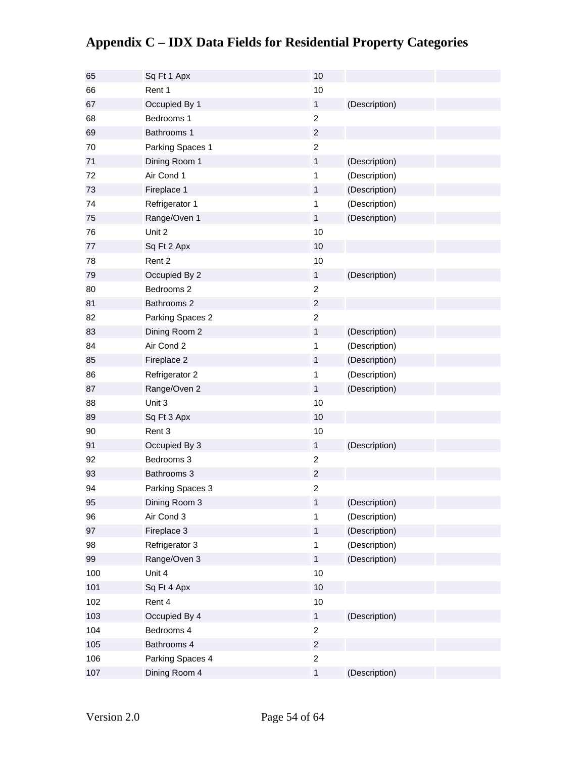| 65  | Sq Ft 1 Apx      | 10               |               |
|-----|------------------|------------------|---------------|
| 66  | Rent 1           | 10               |               |
| 67  | Occupied By 1    | $\mathbf{1}$     | (Description) |
| 68  | Bedrooms 1       | $\overline{c}$   |               |
| 69  | Bathrooms 1      | $\boldsymbol{2}$ |               |
| 70  | Parking Spaces 1 | $\overline{c}$   |               |
| 71  | Dining Room 1    | $\mathbf{1}$     | (Description) |
| 72  | Air Cond 1       | $\mathbf{1}$     | (Description) |
| 73  | Fireplace 1      | $\mathbf{1}$     | (Description) |
| 74  | Refrigerator 1   | $\mathbf{1}$     | (Description) |
| 75  | Range/Oven 1     | $\mathbf{1}$     | (Description) |
| 76  | Unit 2           | 10               |               |
| 77  | Sq Ft 2 Apx      | 10               |               |
| 78  | Rent 2           | 10               |               |
| 79  | Occupied By 2    | $\mathbf{1}$     | (Description) |
| 80  | Bedrooms 2       | $\overline{2}$   |               |
| 81  | Bathrooms 2      | $\overline{2}$   |               |
| 82  | Parking Spaces 2 | $\overline{c}$   |               |
| 83  | Dining Room 2    | $\mathbf{1}$     | (Description) |
| 84  | Air Cond 2       | $\mathbf{1}$     | (Description) |
| 85  | Fireplace 2      | $\mathbf{1}$     | (Description) |
| 86  | Refrigerator 2   | 1                | (Description) |
| 87  | Range/Oven 2     | $\mathbf{1}$     | (Description) |
| 88  | Unit 3           | 10               |               |
| 89  | Sq Ft 3 Apx      | 10               |               |
| 90  | Rent 3           | 10               |               |
| 91  | Occupied By 3    | $\mathbf{1}$     | (Description) |
| 92  | Bedrooms 3       | $\overline{c}$   |               |
| 93  | Bathrooms 3      | $\overline{c}$   |               |
| 94  | Parking Spaces 3 | $\overline{c}$   |               |
| 95  | Dining Room 3    | $\mathbf{1}$     | (Description) |
| 96  | Air Cond 3       | 1                | (Description) |
| 97  | Fireplace 3      | $\mathbf{1}$     | (Description) |
| 98  | Refrigerator 3   | $\mathbf{1}$     | (Description) |
| 99  | Range/Oven 3     | $\mathbf{1}$     | (Description) |
| 100 | Unit 4           | 10               |               |
| 101 | Sq Ft 4 Apx      | 10               |               |
| 102 | Rent 4           | 10               |               |
| 103 | Occupied By 4    | $\mathbf{1}$     | (Description) |
| 104 | Bedrooms 4       | $\overline{c}$   |               |
| 105 | Bathrooms 4      | $\overline{c}$   |               |
| 106 | Parking Spaces 4 | $\overline{c}$   |               |
| 107 | Dining Room 4    | $\mathbf 1$      | (Description) |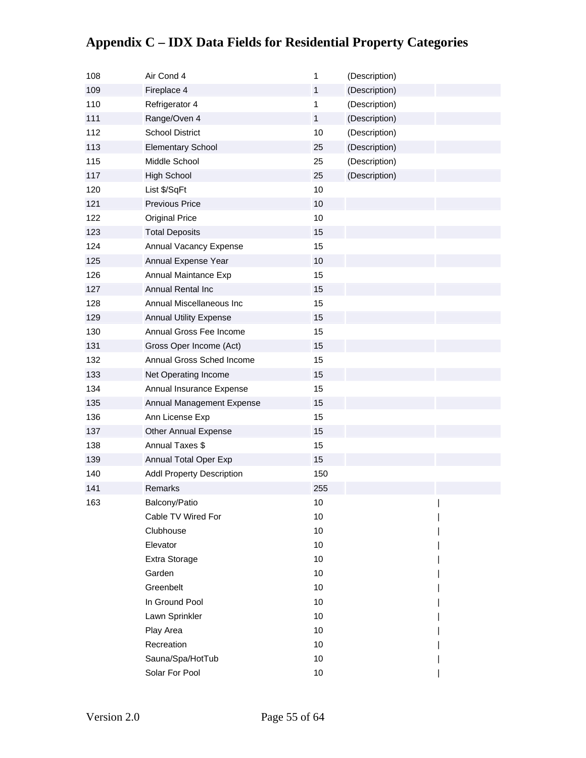| 108 | Air Cond 4                       | $\mathbf{1}$ | (Description) |  |
|-----|----------------------------------|--------------|---------------|--|
| 109 | Fireplace 4                      | $\mathbf{1}$ | (Description) |  |
| 110 | Refrigerator 4                   | 1            | (Description) |  |
| 111 | Range/Oven 4                     | $\mathbf{1}$ | (Description) |  |
| 112 | <b>School District</b>           | 10           | (Description) |  |
| 113 | <b>Elementary School</b>         | 25           | (Description) |  |
| 115 | Middle School                    | 25           | (Description) |  |
| 117 | <b>High School</b>               | 25           | (Description) |  |
| 120 | List \$/SqFt                     | 10           |               |  |
| 121 | <b>Previous Price</b>            | 10           |               |  |
| 122 | <b>Original Price</b>            | 10           |               |  |
| 123 | <b>Total Deposits</b>            | 15           |               |  |
| 124 | Annual Vacancy Expense           | 15           |               |  |
| 125 | Annual Expense Year              | 10           |               |  |
| 126 | Annual Maintance Exp             | 15           |               |  |
| 127 | Annual Rental Inc                | 15           |               |  |
| 128 | Annual Miscellaneous Inc         | 15           |               |  |
| 129 | <b>Annual Utility Expense</b>    | 15           |               |  |
| 130 | Annual Gross Fee Income          | 15           |               |  |
| 131 | Gross Oper Income (Act)          | 15           |               |  |
| 132 | Annual Gross Sched Income        | 15           |               |  |
| 133 | Net Operating Income             | 15           |               |  |
| 134 | Annual Insurance Expense         | 15           |               |  |
| 135 | Annual Management Expense        | 15           |               |  |
| 136 | Ann License Exp                  | 15           |               |  |
| 137 | Other Annual Expense             | 15           |               |  |
| 138 | Annual Taxes \$                  | 15           |               |  |
| 139 | Annual Total Oper Exp            | 15           |               |  |
| 140 | <b>Addl Property Description</b> | 150          |               |  |
| 141 | Remarks                          | 255          |               |  |
| 163 | Balcony/Patio                    | 10           |               |  |
|     | Cable TV Wired For               | 10           |               |  |
|     | Clubhouse                        | 10           |               |  |
|     | Elevator                         | 10           |               |  |
|     | Extra Storage                    | 10           |               |  |
|     | Garden                           | 10           |               |  |
|     | Greenbelt                        | 10           |               |  |
|     | In Ground Pool                   | 10           |               |  |
|     | Lawn Sprinkler                   | 10           |               |  |
|     | Play Area                        | 10           |               |  |
|     | Recreation                       | 10           |               |  |
|     | Sauna/Spa/HotTub                 | 10           |               |  |
|     | Solar For Pool                   | 10           |               |  |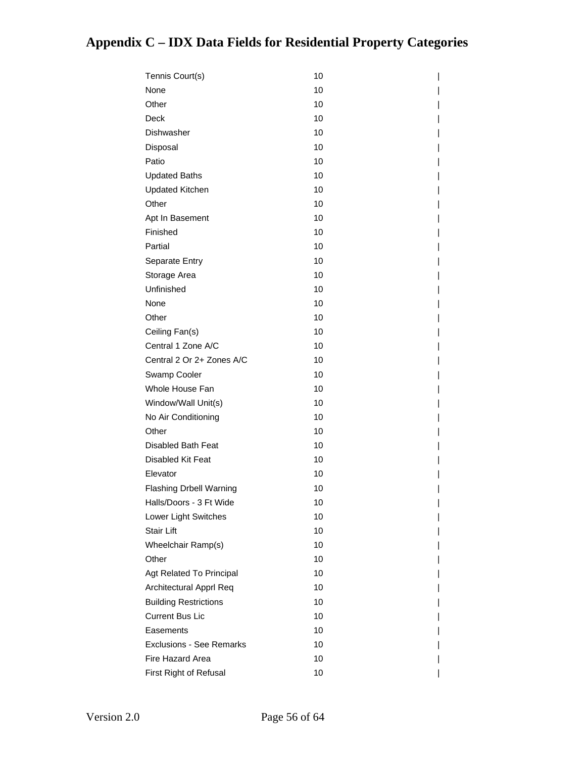| Tennis Court(s)                 | 10 |
|---------------------------------|----|
| None                            | 10 |
| Other                           | 10 |
| Deck                            | 10 |
| Dishwasher                      | 10 |
| Disposal                        | 10 |
| Patio                           | 10 |
| <b>Updated Baths</b>            | 10 |
| <b>Updated Kitchen</b>          | 10 |
| Other                           | 10 |
| Apt In Basement                 | 10 |
| Finished                        | 10 |
| Partial                         | 10 |
| Separate Entry                  | 10 |
| Storage Area                    | 10 |
| Unfinished                      | 10 |
| None                            | 10 |
| Other                           | 10 |
| Ceiling Fan(s)                  | 10 |
| Central 1 Zone A/C              | 10 |
| Central 2 Or 2+ Zones A/C       | 10 |
| Swamp Cooler                    | 10 |
| Whole House Fan                 | 10 |
| Window/Wall Unit(s)             | 10 |
| No Air Conditioning             | 10 |
| Other                           | 10 |
| Disabled Bath Feat              | 10 |
| Disabled Kit Feat               | 10 |
| Elevator                        | 10 |
| <b>Flashing Drbell Warning</b>  | 10 |
| Halls/Doors - 3 Ft Wide         | 10 |
| Lower Light Switches            | 10 |
| Stair Lift                      | 10 |
| Wheelchair Ramp(s)              | 10 |
| Other                           | 10 |
| Agt Related To Principal        | 10 |
| Architectural Apprl Req         | 10 |
| <b>Building Restrictions</b>    | 10 |
| <b>Current Bus Lic</b>          | 10 |
| Easements                       | 10 |
| <b>Exclusions - See Remarks</b> | 10 |
| Fire Hazard Area                | 10 |
| First Right of Refusal          | 10 |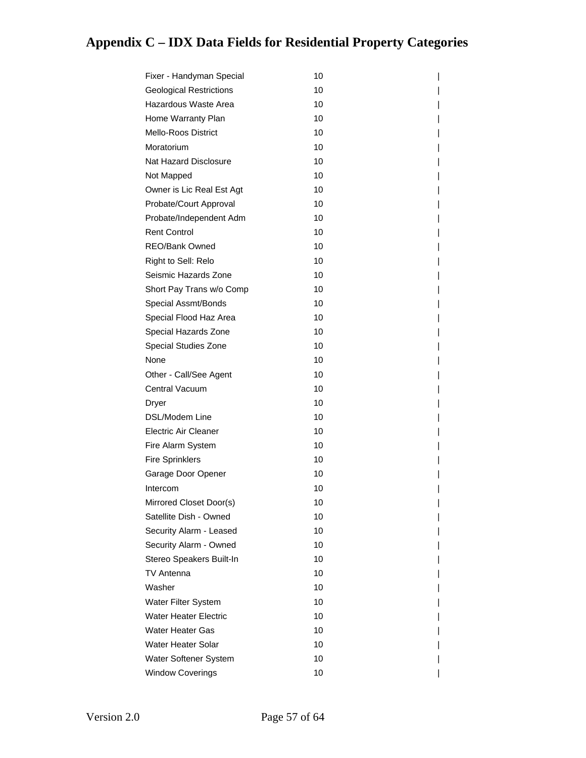| Fixer - Handyman Special       | 10 |
|--------------------------------|----|
| <b>Geological Restrictions</b> | 10 |
| Hazardous Waste Area           | 10 |
| Home Warranty Plan             | 10 |
| <b>Mello-Roos District</b>     | 10 |
| Moratorium                     | 10 |
| Nat Hazard Disclosure          | 10 |
| Not Mapped                     | 10 |
| Owner is Lic Real Est Agt      | 10 |
| Probate/Court Approval         | 10 |
| Probate/Independent Adm        | 10 |
| <b>Rent Control</b>            | 10 |
| REO/Bank Owned                 | 10 |
| Right to Sell: Relo            | 10 |
| Seismic Hazards Zone           | 10 |
| Short Pay Trans w/o Comp       | 10 |
| Special Assmt/Bonds            | 10 |
| Special Flood Haz Area         | 10 |
| Special Hazards Zone           | 10 |
| Special Studies Zone           | 10 |
| None                           | 10 |
| Other - Call/See Agent         | 10 |
| Central Vacuum                 | 10 |
| Dryer                          | 10 |
| DSL/Modem Line                 | 10 |
| Electric Air Cleaner           | 10 |
| Fire Alarm System              | 10 |
| <b>Fire Sprinklers</b>         | 10 |
| Garage Door Opener             | 10 |
| Intercom                       | 10 |
| Mirrored Closet Door(s)        | 10 |
| Satellite Dish - Owned         | 10 |
| Security Alarm - Leased        | 10 |
| Security Alarm - Owned         | 10 |
| Stereo Speakers Built-In       | 10 |
| TV Antenna                     | 10 |
| Washer                         | 10 |
| Water Filter System            | 10 |
| <b>Water Heater Electric</b>   | 10 |
| <b>Water Heater Gas</b>        | 10 |
| <b>Water Heater Solar</b>      | 10 |
| Water Softener System          | 10 |
| <b>Window Coverings</b>        | 10 |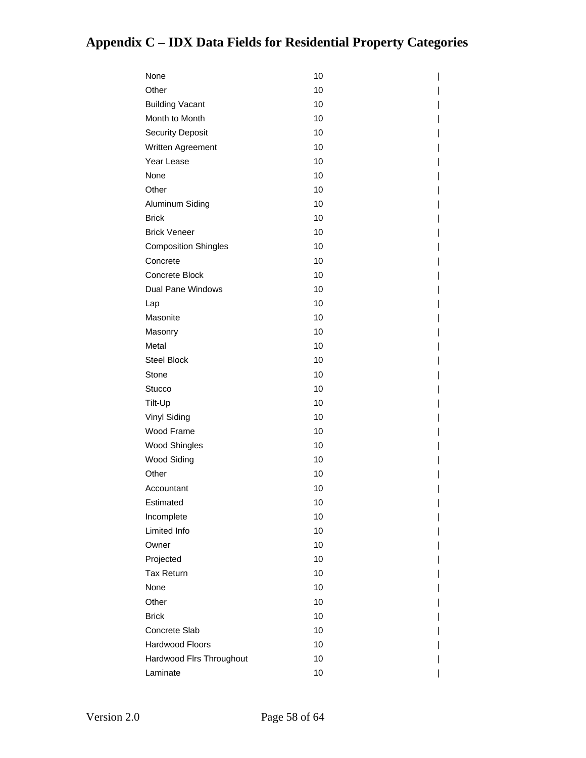| None                        | 10 |
|-----------------------------|----|
| Other                       | 10 |
| <b>Building Vacant</b>      | 10 |
| Month to Month              | 10 |
| <b>Security Deposit</b>     | 10 |
| Written Agreement           | 10 |
| Year Lease                  | 10 |
| None                        | 10 |
| Other                       | 10 |
| Aluminum Siding             | 10 |
| <b>Brick</b>                | 10 |
| <b>Brick Veneer</b>         | 10 |
| <b>Composition Shingles</b> | 10 |
| Concrete                    | 10 |
| Concrete Block              | 10 |
| Dual Pane Windows           | 10 |
| Lap                         | 10 |
| Masonite                    | 10 |
| Masonry                     | 10 |
| Metal                       | 10 |
| <b>Steel Block</b>          | 10 |
| Stone                       | 10 |
| <b>Stucco</b>               | 10 |
| Tilt-Up                     | 10 |
| Vinyl Siding                | 10 |
| Wood Frame                  | 10 |
| Wood Shingles               | 10 |
| <b>Wood Siding</b>          | 10 |
| Other                       | 10 |
| Accountant                  | 10 |
| Estimated                   | 10 |
| Incomplete                  | 10 |
| Limited Info                | 10 |
| Owner                       | 10 |
| Projected                   | 10 |
| <b>Tax Return</b>           | 10 |
| None                        | 10 |
| Other                       | 10 |
| <b>Brick</b>                | 10 |
| Concrete Slab               | 10 |
| Hardwood Floors             | 10 |
| Hardwood Firs Throughout    | 10 |
| Laminate                    | 10 |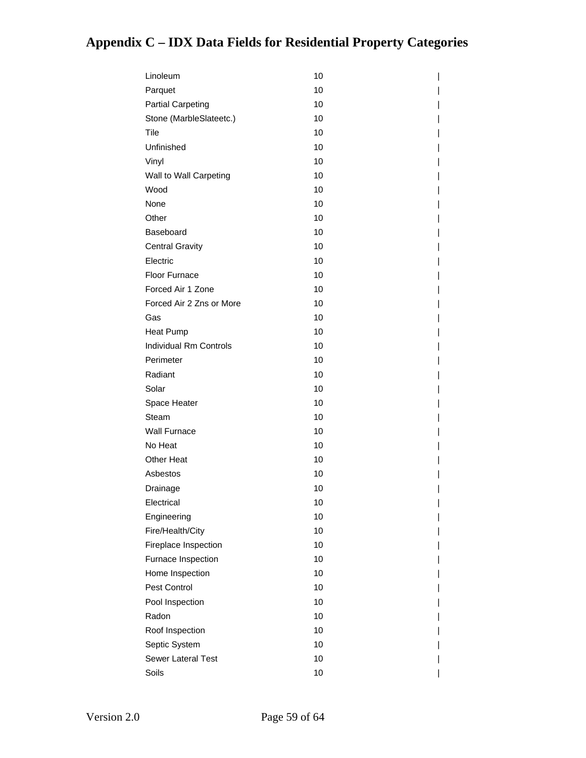| Linoleum                      | 10 |
|-------------------------------|----|
| Parquet                       | 10 |
| <b>Partial Carpeting</b>      | 10 |
| Stone (MarbleSlateetc.)       | 10 |
| Tile                          | 10 |
| Unfinished                    | 10 |
| Vinyl                         | 10 |
| Wall to Wall Carpeting        | 10 |
| Wood                          | 10 |
| None                          | 10 |
| Other                         | 10 |
| Baseboard                     | 10 |
| <b>Central Gravity</b>        | 10 |
| Electric                      | 10 |
| Floor Furnace                 | 10 |
| Forced Air 1 Zone             | 10 |
| Forced Air 2 Zns or More      | 10 |
| Gas                           | 10 |
| <b>Heat Pump</b>              | 10 |
| <b>Individual Rm Controls</b> | 10 |
| Perimeter                     | 10 |
| Radiant                       | 10 |
| Solar                         | 10 |
| Space Heater                  | 10 |
| Steam                         | 10 |
| <b>Wall Furnace</b>           | 10 |
| No Heat                       | 10 |
| Other Heat                    | 10 |
| Asbestos                      | 10 |
| Drainage                      | 10 |
| Electrical                    | 10 |
| Engineering                   | 10 |
| Fire/Health/City              | 10 |
| Fireplace Inspection          | 10 |
| Furnace Inspection            | 10 |
| Home Inspection               | 10 |
| Pest Control                  | 10 |
| Pool Inspection               | 10 |
| Radon                         | 10 |
| Roof Inspection               | 10 |
| Septic System                 | 10 |
| Sewer Lateral Test            | 10 |
| Soils                         | 10 |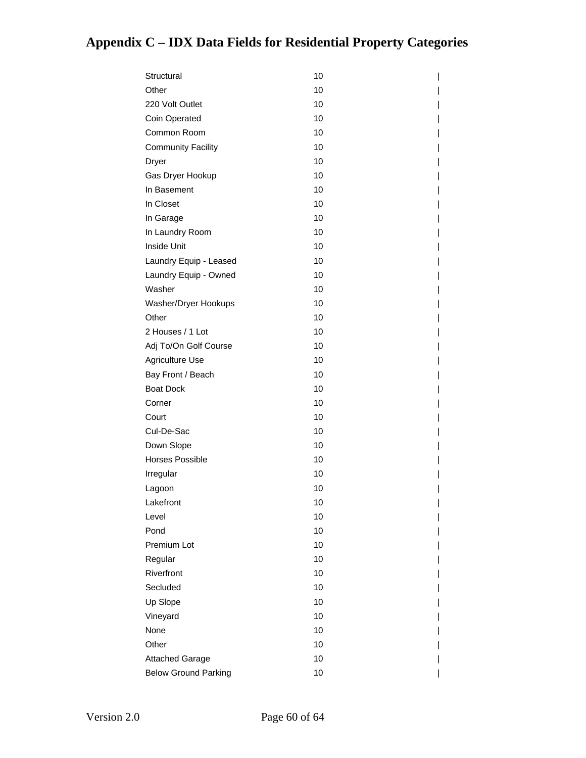| Structural                  | 10 |
|-----------------------------|----|
| Other                       | 10 |
| 220 Volt Outlet             | 10 |
| Coin Operated               | 10 |
| Common Room                 | 10 |
| <b>Community Facility</b>   | 10 |
| Dryer                       | 10 |
| Gas Dryer Hookup            | 10 |
| In Basement                 | 10 |
| In Closet                   | 10 |
| In Garage                   | 10 |
| In Laundry Room             | 10 |
| Inside Unit                 | 10 |
| Laundry Equip - Leased      | 10 |
| Laundry Equip - Owned       | 10 |
| Washer                      | 10 |
| Washer/Dryer Hookups        | 10 |
| Other                       | 10 |
| 2 Houses / 1 Lot            | 10 |
| Adj To/On Golf Course       | 10 |
| Agriculture Use             | 10 |
| Bay Front / Beach           | 10 |
| <b>Boat Dock</b>            | 10 |
| Corner                      | 10 |
| Court                       | 10 |
| Cul-De-Sac                  | 10 |
| Down Slope                  | 10 |
| <b>Horses Possible</b>      | 10 |
| Irregular                   | 10 |
| Lagoon                      | 10 |
| Lakefront                   | 10 |
| Level                       | 10 |
| Pond                        | 10 |
| Premium Lot                 | 10 |
| Regular                     | 10 |
| Riverfront                  | 10 |
| Secluded                    | 10 |
| Up Slope                    | 10 |
| Vineyard                    | 10 |
| None                        | 10 |
| Other                       | 10 |
| <b>Attached Garage</b>      | 10 |
| <b>Below Ground Parking</b> | 10 |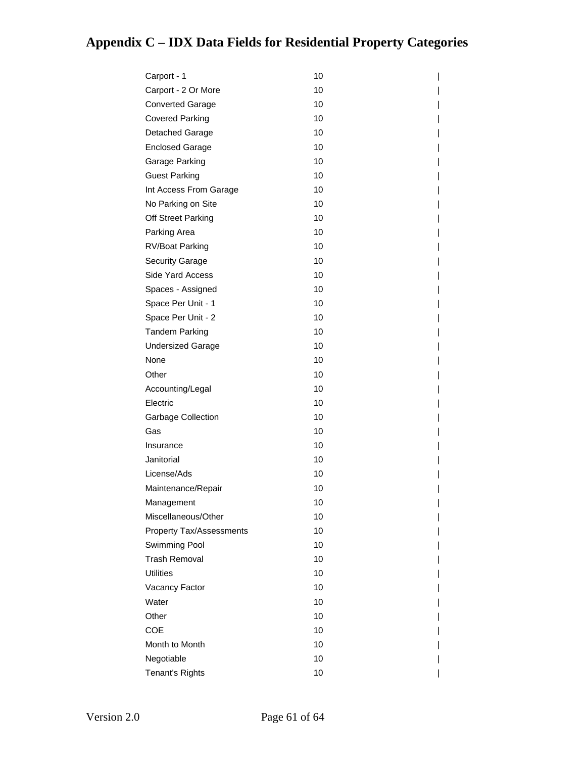| Carport - 1                     | 10 |
|---------------------------------|----|
| Carport - 2 Or More             | 10 |
| <b>Converted Garage</b>         | 10 |
| <b>Covered Parking</b>          | 10 |
| Detached Garage                 | 10 |
| <b>Enclosed Garage</b>          | 10 |
| Garage Parking                  | 10 |
| <b>Guest Parking</b>            | 10 |
| Int Access From Garage          | 10 |
| No Parking on Site              | 10 |
| Off Street Parking              | 10 |
| Parking Area                    | 10 |
| RV/Boat Parking                 | 10 |
| <b>Security Garage</b>          | 10 |
| Side Yard Access                | 10 |
| Spaces - Assigned               | 10 |
| Space Per Unit - 1              | 10 |
| Space Per Unit - 2              | 10 |
| <b>Tandem Parking</b>           | 10 |
| <b>Undersized Garage</b>        | 10 |
| None                            | 10 |
| Other                           | 10 |
| Accounting/Legal                | 10 |
| Electric                        | 10 |
| <b>Garbage Collection</b>       | 10 |
| Gas                             | 10 |
| Insurance                       | 10 |
| Janitorial                      | 10 |
| License/Ads                     | 10 |
| Maintenance/Repair              | 10 |
| Management                      | 10 |
| Miscellaneous/Other             | 10 |
| <b>Property Tax/Assessments</b> | 10 |
| Swimming Pool                   | 10 |
| <b>Trash Removal</b>            | 10 |
| <b>Utilities</b>                | 10 |
| Vacancy Factor                  | 10 |
| Water                           | 10 |
| Other                           | 10 |
| <b>COE</b>                      | 10 |
| Month to Month                  | 10 |
| Negotiable                      | 10 |
| Tenant's Rights                 | 10 |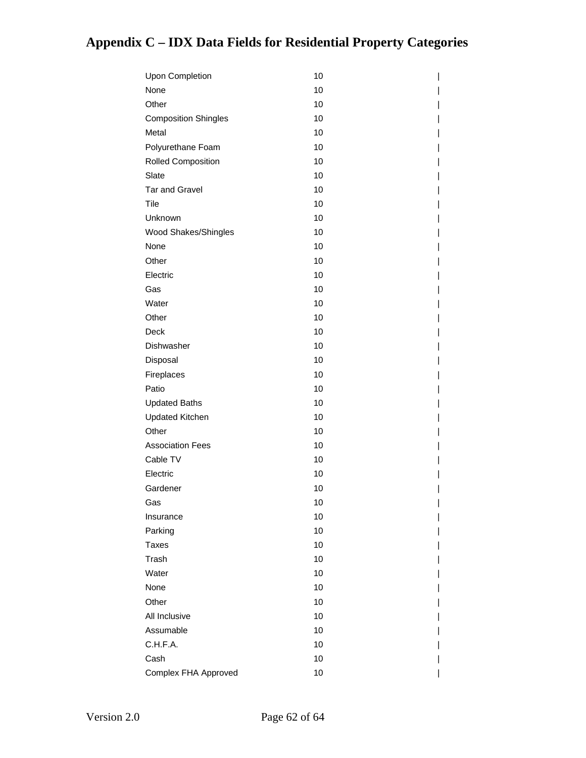| Upon Completion             | 10 |
|-----------------------------|----|
| None                        | 10 |
| Other                       | 10 |
| <b>Composition Shingles</b> | 10 |
| Metal                       | 10 |
| Polyurethane Foam           | 10 |
| <b>Rolled Composition</b>   | 10 |
| Slate                       | 10 |
| <b>Tar and Gravel</b>       | 10 |
| Tile                        | 10 |
| Unknown                     | 10 |
| Wood Shakes/Shingles        | 10 |
| None                        | 10 |
| Other                       | 10 |
| Electric                    | 10 |
| Gas                         | 10 |
| Water                       | 10 |
| Other                       | 10 |
| Deck                        | 10 |
| Dishwasher                  | 10 |
| Disposal                    | 10 |
| Fireplaces                  | 10 |
| Patio                       | 10 |
| <b>Updated Baths</b>        | 10 |
| <b>Updated Kitchen</b>      | 10 |
| Other                       | 10 |
| <b>Association Fees</b>     | 10 |
| Cable TV                    | 10 |
| Electric                    | 10 |
| Gardener                    | 10 |
| Gas                         | 10 |
| Insurance                   | 10 |
| Parking                     | 10 |
| <b>Taxes</b>                | 10 |
| Trash                       | 10 |
| Water                       | 10 |
| None                        | 10 |
| Other                       | 10 |
| All Inclusive               | 10 |
| Assumable                   | 10 |
| C.H.F.A.                    | 10 |
| Cash                        | 10 |
| Complex FHA Approved        | 10 |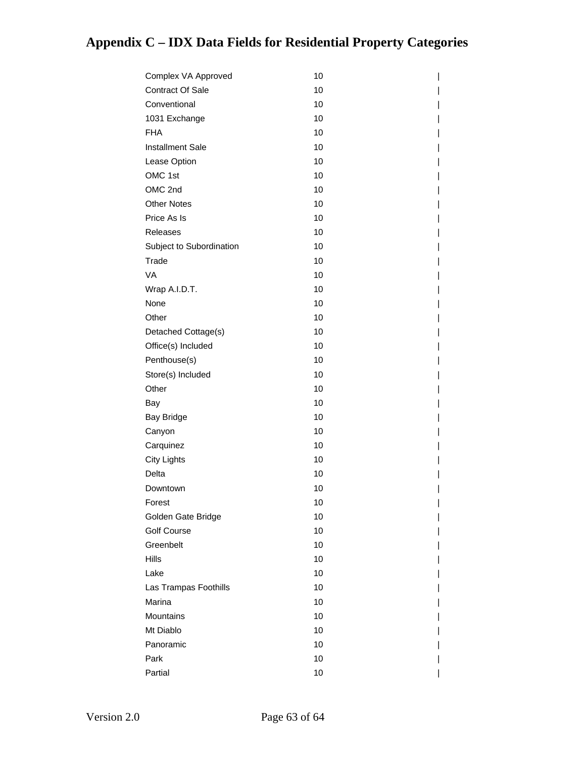| Complex VA Approved      | 10 |
|--------------------------|----|
| <b>Contract Of Sale</b>  | 10 |
| Conventional             | 10 |
| 1031 Exchange            | 10 |
| <b>FHA</b>               | 10 |
| <b>Installment Sale</b>  | 10 |
| Lease Option             | 10 |
| OMC 1st                  | 10 |
| OMC 2nd                  | 10 |
| <b>Other Notes</b>       | 10 |
| Price As Is              | 10 |
| <b>Releases</b>          | 10 |
| Subject to Subordination | 10 |
| Trade                    | 10 |
| VA                       | 10 |
| Wrap A.I.D.T.            | 10 |
| None                     | 10 |
| Other                    | 10 |
| Detached Cottage(s)      | 10 |
| Office(s) Included       | 10 |
| Penthouse(s)             | 10 |
| Store(s) Included        | 10 |
| Other                    | 10 |
| Bay                      | 10 |
| <b>Bay Bridge</b>        | 10 |
| Canyon                   | 10 |
| Carquinez                | 10 |
| <b>City Lights</b>       | 10 |
| Delta                    | 10 |
| Downtown                 | 10 |
| Forest                   | 10 |
| Golden Gate Bridge       | 10 |
| <b>Golf Course</b>       | 10 |
| Greenbelt                | 10 |
| Hills                    | 10 |
| Lake                     | 10 |
| Las Trampas Foothills    | 10 |
| Marina                   | 10 |
| Mountains                | 10 |
| Mt Diablo                | 10 |
| Panoramic                | 10 |
| Park                     | 10 |
| Partial                  | 10 |